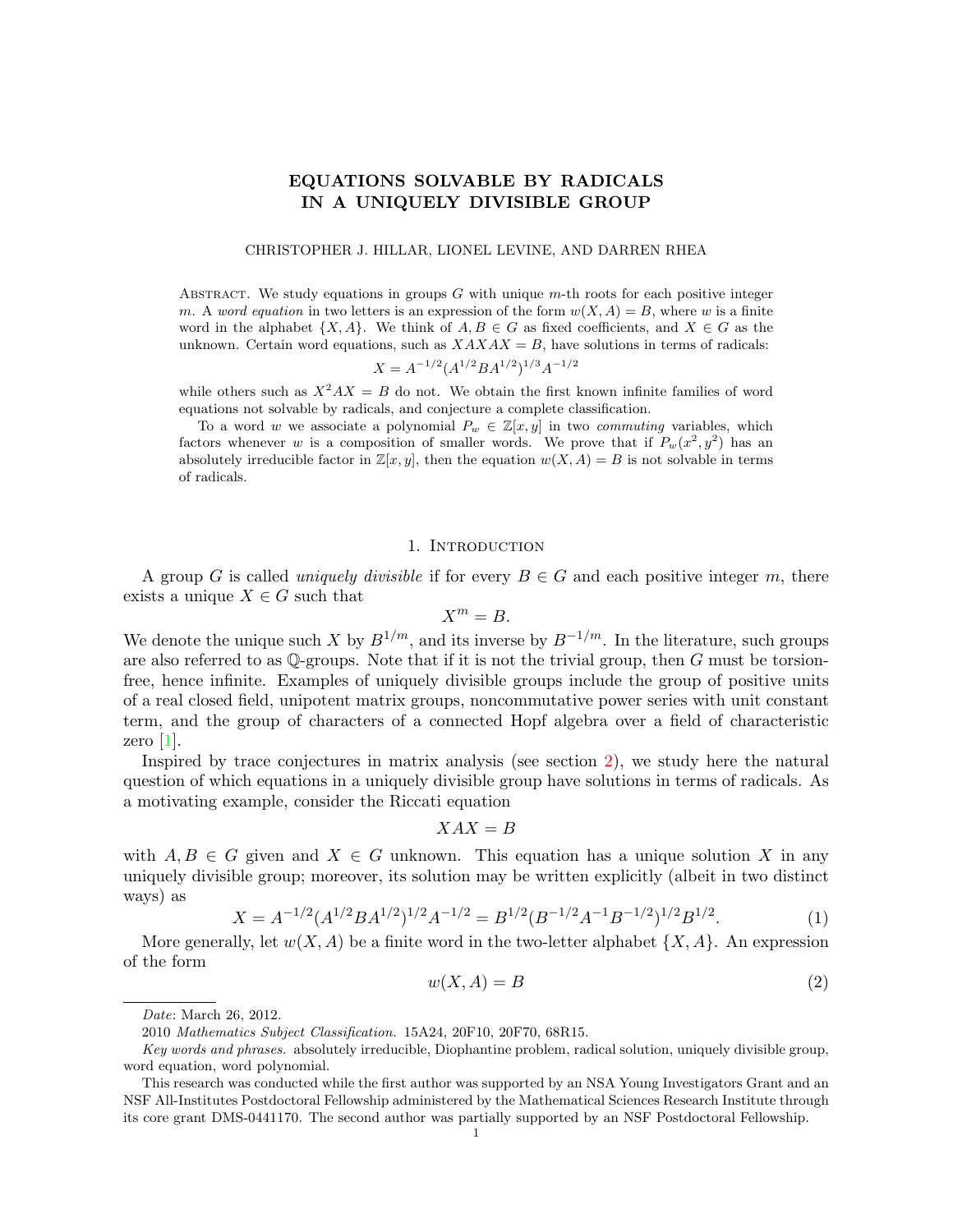## EQUATIONS SOLVABLE BY RADICALS IN A UNIQUELY DIVISIBLE GROUP

#### CHRISTOPHER J. HILLAR, LIONEL LEVINE, AND DARREN RHEA

ABSTRACT. We study equations in groups  $G$  with unique  $m$ -th roots for each positive integer m. A word equation in two letters is an expression of the form  $w(X, A) = B$ , where w is a finite word in the alphabet  $\{X, A\}$ . We think of  $A, B \in G$  as fixed coefficients, and  $X \in G$  as the unknown. Certain word equations, such as  $XAXAX = B$ , have solutions in terms of radicals:  $X = A^{-1/2} (A^{1/2} B A^{1/2})^{1/3} A^{-1/2}$ 

while others such as  $X^2AX = B$  do not. We obtain the first known infinite families of word equations not solvable by radicals, and conjecture a complete classification.

To a word w we associate a polynomial  $P_w \in \mathbb{Z}[x, y]$  in two *commuting* variables, which factors whenever w is a composition of smaller words. We prove that if  $P_w(x^2, y^2)$  has an absolutely irreducible factor in  $\mathbb{Z}[x, y]$ , then the equation  $w(X, A) = B$  is not solvable in terms of radicals.

### 1. INTRODUCTION

A group G is called *uniquely divisible* if for every  $B \in G$  and each positive integer m, there exists a unique  $X \in G$  such that

$$
X^m=B.
$$

We denote the unique such X by  $B^{1/m}$ , and its inverse by  $B^{-1/m}$ . In the literature, such groups are also referred to as  $\mathbb{O}$ -groups. Note that if it is not the trivial group, then G must be torsionfree, hence infinite. Examples of uniquely divisible groups include the group of positive units of a real closed field, unipotent matrix groups, noncommutative power series with unit constant term, and the group of characters of a connected Hopf algebra over a field of characteristic zero [\[1\]](#page-16-0).

Inspired by trace conjectures in matrix analysis (see section [2\)](#page-4-0), we study here the natural question of which equations in a uniquely divisible group have solutions in terms of radicals. As a motivating example, consider the Riccati equation

$$
XAX = B
$$

with  $A, B \in G$  given and  $X \in G$  unknown. This equation has a unique solution X in any uniquely divisible group; moreover, its solution may be written explicitly (albeit in two distinct ways) as

<span id="page-0-1"></span>
$$
X = A^{-1/2} (A^{1/2} B A^{1/2})^{1/2} A^{-1/2} = B^{1/2} (B^{-1/2} A^{-1} B^{-1/2})^{1/2} B^{1/2}.
$$
 (1)

More generally, let  $w(X, A)$  be a finite word in the two-letter alphabet  $\{X, A\}$ . An expression of the form

<span id="page-0-0"></span>
$$
w(X, A) = B \tag{2}
$$

Date: March 26, 2012.

<sup>2010</sup> Mathematics Subject Classification. 15A24, 20F10, 20F70, 68R15.

Key words and phrases. absolutely irreducible, Diophantine problem, radical solution, uniquely divisible group, word equation, word polynomial.

This research was conducted while the first author was supported by an NSA Young Investigators Grant and an NSF All-Institutes Postdoctoral Fellowship administered by the Mathematical Sciences Research Institute through its core grant DMS-0441170. The second author was partially supported by an NSF Postdoctoral Fellowship.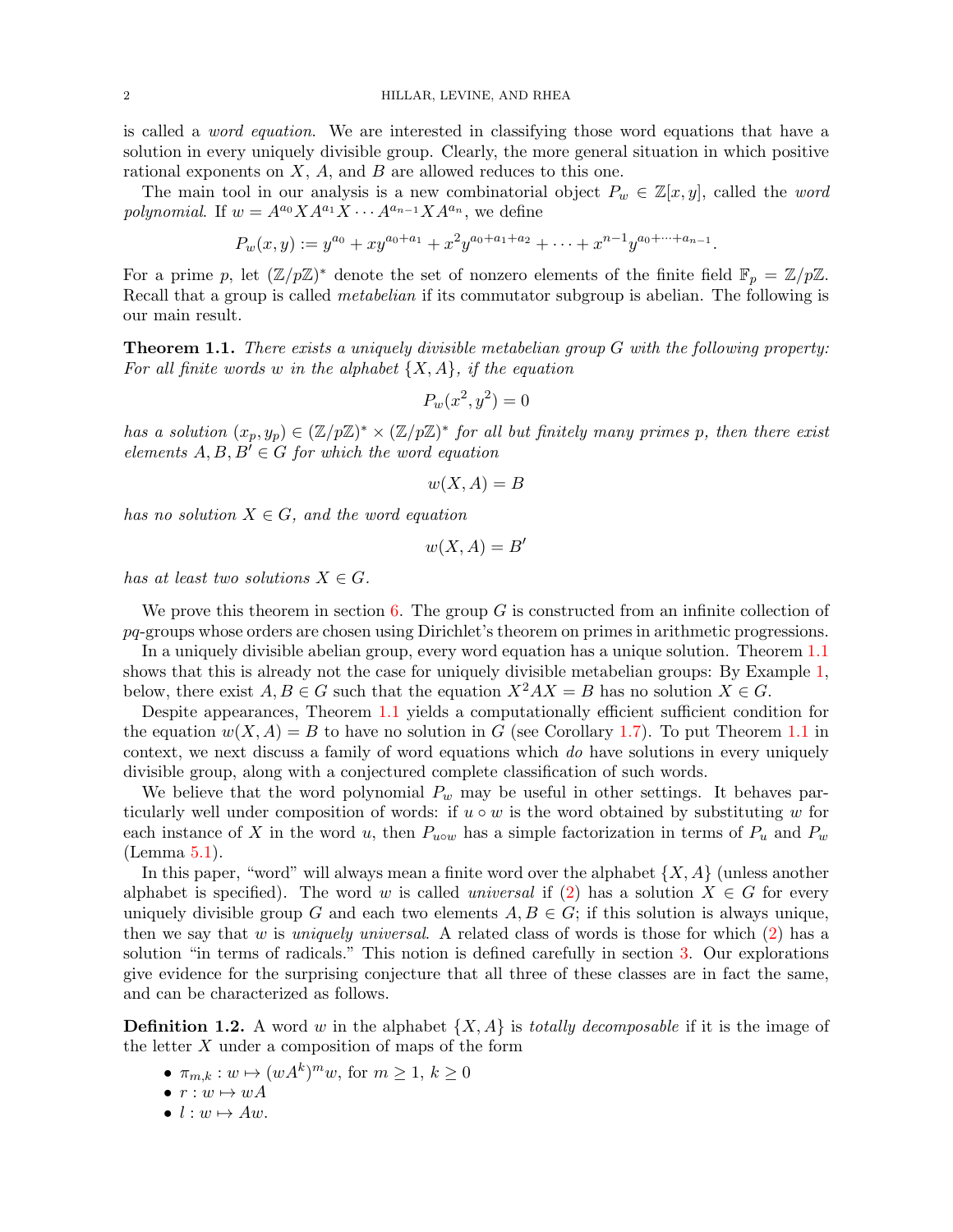is called a word equation. We are interested in classifying those word equations that have a solution in every uniquely divisible group. Clearly, the more general situation in which positive rational exponents on  $X$ ,  $A$ , and  $B$  are allowed reduces to this one.

The main tool in our analysis is a new combinatorial object  $P_w \in \mathbb{Z}[x, y]$ , called the word polynomial. If  $w = A^{a_0} X A^{a_1} X \cdots A^{a_{n-1}} X A^{a_n}$ , we define

$$
P_w(x,y) := y^{a_0} + xy^{a_0 + a_1} + x^2 y^{a_0 + a_1 + a_2} + \dots + x^{n-1} y^{a_0 + \dots + a_{n-1}}.
$$

For a prime p, let  $(\mathbb{Z}/p\mathbb{Z})^*$  denote the set of nonzero elements of the finite field  $\mathbb{F}_p = \mathbb{Z}/p\mathbb{Z}$ . Recall that a group is called *metabelian* if its commutator subgroup is abelian. The following is our main result.

<span id="page-1-0"></span>**Theorem 1.1.** There exists a uniquely divisible metabelian group G with the following property: For all finite words w in the alphabet  $\{X, A\}$ , if the equation

$$
P_w(x^2, y^2) = 0
$$

has a solution  $(x_p, y_p) \in (\mathbb{Z}/p\mathbb{Z})^* \times (\mathbb{Z}/p\mathbb{Z})^*$  for all but finitely many primes p, then there exist elements  $A, B, B' \in G$  for which the word equation

$$
w(X,A) = B
$$

has no solution  $X \in G$ , and the word equation

$$
w(X,A) = B'
$$

has at least two solutions  $X \in G$ .

We prove this theorem in section [6.](#page-11-0) The group  $G$  is constructed from an infinite collection of pq-groups whose orders are chosen using Dirichlet's theorem on primes in arithmetic progressions.

In a uniquely divisible abelian group, every word equation has a unique solution. Theorem [1.1](#page-1-0) shows that this is already not the case for uniquely divisible metabelian groups: By Example [1,](#page-2-0) below, there exist  $A, B \in G$  such that the equation  $X^2AX = B$  has no solution  $X \in G$ .

Despite appearances, Theorem [1.1](#page-1-0) yields a computationally efficient sufficient condition for the equation  $w(X, A) = B$  to have no solution in G (see Corollary [1.7\)](#page-3-0). To put Theorem [1.1](#page-1-0) in context, we next discuss a family of word equations which do have solutions in every uniquely divisible group, along with a conjectured complete classification of such words.

We believe that the word polynomial  $P_w$  may be useful in other settings. It behaves particularly well under composition of words: if  $u \circ w$  is the word obtained by substituting w for each instance of X in the word u, then  $P_{uvw}$  has a simple factorization in terms of  $P_u$  and  $P_w$ (Lemma [5.1\)](#page-9-0).

In this paper, "word" will always mean a finite word over the alphabet  $\{X, A\}$  (unless another alphabet is specified). The word w is called universal if [\(2\)](#page-0-0) has a solution  $X \in G$  for every uniquely divisible group G and each two elements  $A, B \in G$ ; if this solution is always unique, then we say that w is uniquely universal. A related class of words is those for which  $(2)$  has a solution "in terms of radicals." This notion is defined carefully in section [3.](#page-5-0) Our explorations give evidence for the surprising conjecture that all three of these classes are in fact the same, and can be characterized as follows.

<span id="page-1-1"></span>**Definition 1.2.** A word w in the alphabet  $\{X, A\}$  is *totally decomposable* if it is the image of the letter  $X$  under a composition of maps of the form

- $\pi_{m,k}: w \mapsto (wA^k)^m w$ , for  $m \geq 1, k \geq 0$
- $r:w\mapsto wA$
- $l : w \mapsto Aw$ .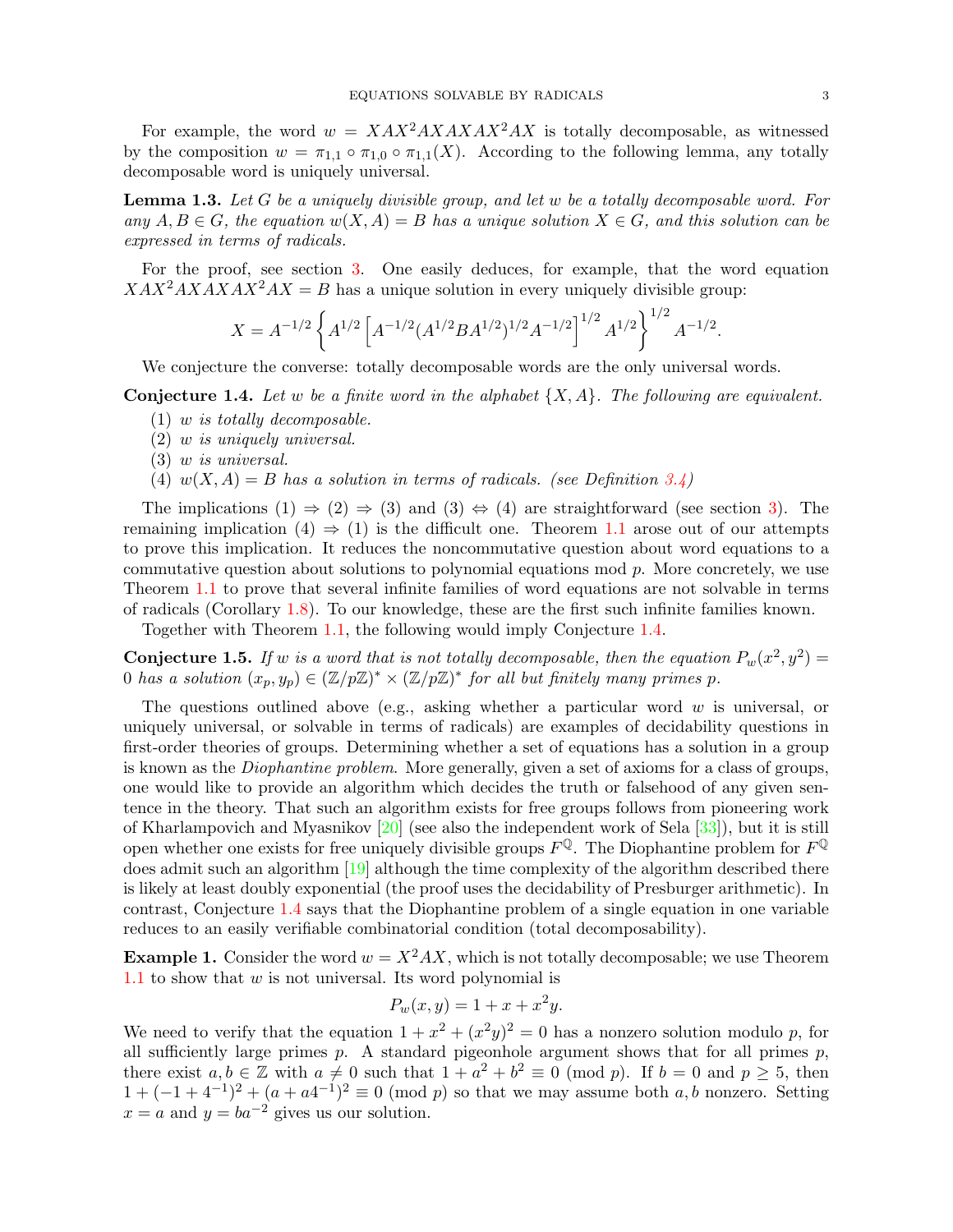For example, the word  $w = XAX^2AXAX^2AX$  is totally decomposable, as witnessed by the composition  $w = \pi_{1,1} \circ \pi_{1,0} \circ \pi_{1,1}(X)$ . According to the following lemma, any totally decomposable word is uniquely universal.

<span id="page-2-3"></span>**Lemma 1.3.** Let G be a uniquely divisible group, and let w be a totally decomposable word. For any  $A, B \in G$ , the equation  $w(X, A) = B$  has a unique solution  $X \in G$ , and this solution can be expressed in terms of radicals.

For the proof, see section [3.](#page-5-0) One easily deduces, for example, that the word equation  $XAX^2AXAXAX^2AX = B$  has a unique solution in every uniquely divisible group:

$$
X = A^{-1/2} \left\{ A^{1/2} \left[ A^{-1/2} (A^{1/2} B A^{1/2})^{1/2} A^{-1/2} \right]^{1/2} A^{1/2} \right\}^{1/2} A^{-1/2}.
$$

We conjecture the converse: totally decomposable words are the only universal words.

<span id="page-2-1"></span>**Conjecture 1.4.** Let w be a finite word in the alphabet  $\{X, A\}$ . The following are equivalent.

- (1) w is totally decomposable.
- (2) w is uniquely universal.
- (3) w is universal.
- (4)  $w(X, A) = B$  has a solution in terms of radicals. (see Definition [3.4\)](#page-6-0)

The implications  $(1) \Rightarrow (2) \Rightarrow (3)$  $(1) \Rightarrow (2) \Rightarrow (3)$  and  $(3) \Leftrightarrow (4)$  are straightforward (see section 3). The remaining implication  $(4) \Rightarrow (1)$  is the difficult one. Theorem [1.1](#page-1-0) arose out of our attempts to prove this implication. It reduces the noncommutative question about word equations to a commutative question about solutions to polynomial equations mod  $p$ . More concretely, we use Theorem [1.1](#page-1-0) to prove that several infinite families of word equations are not solvable in terms of radicals (Corollary [1.8\)](#page-3-1). To our knowledge, these are the first such infinite families known.

Together with Theorem [1.1,](#page-1-0) the following would imply Conjecture [1.4.](#page-2-1)

<span id="page-2-2"></span>**Conjecture 1.5.** If w is a word that is not totally decomposable, then the equation  $P_w(x^2, y^2) =$ 0 has a solution  $(x_p, y_p) \in (\mathbb{Z}/p\mathbb{Z})^* \times (\mathbb{Z}/p\mathbb{Z})^*$  for all but finitely many primes p.

The questions outlined above (e.g., asking whether a particular word  $w$  is universal, or uniquely universal, or solvable in terms of radicals) are examples of decidability questions in first-order theories of groups. Determining whether a set of equations has a solution in a group is known as the Diophantine problem. More generally, given a set of axioms for a class of groups, one would like to provide an algorithm which decides the truth or falsehood of any given sentence in the theory. That such an algorithm exists for free groups follows from pioneering work of Kharlampovich and Myasnikov [\[20\]](#page-16-1) (see also the independent work of Sela [\[33\]](#page-17-0)), but it is still open whether one exists for free uniquely divisible groups  $F^{\mathbb{Q}}$ . The Diophantine problem for  $F^{\mathbb{Q}}$ does admit such an algorithm [\[19\]](#page-16-2) although the time complexity of the algorithm described there is likely at least doubly exponential (the proof uses the decidability of Presburger arithmetic). In contrast, Conjecture [1.4](#page-2-1) says that the Diophantine problem of a single equation in one variable reduces to an easily verifiable combinatorial condition (total decomposability).

<span id="page-2-0"></span>**Example 1.** Consider the word  $w = X^2AX$ , which is not totally decomposable; we use Theorem [1.1](#page-1-0) to show that  $w$  is not universal. Its word polynomial is

$$
P_w(x, y) = 1 + x + x^2y.
$$

We need to verify that the equation  $1 + x^2 + (x^2y)^2 = 0$  has a nonzero solution modulo p, for all sufficiently large primes  $p$ . A standard pigeonhole argument shows that for all primes  $p$ , there exist  $a, b \in \mathbb{Z}$  with  $a \neq 0$  such that  $1 + a^2 + b^2 \equiv 0 \pmod{p}$ . If  $b = 0$  and  $p \geq 5$ , then  $1+(-1+4^{-1})^2+(a+a4^{-1})^2\equiv 0\pmod{p}$  so that we may assume both a, b nonzero. Setting  $x = a$  and  $y = ba^{-2}$  gives us our solution.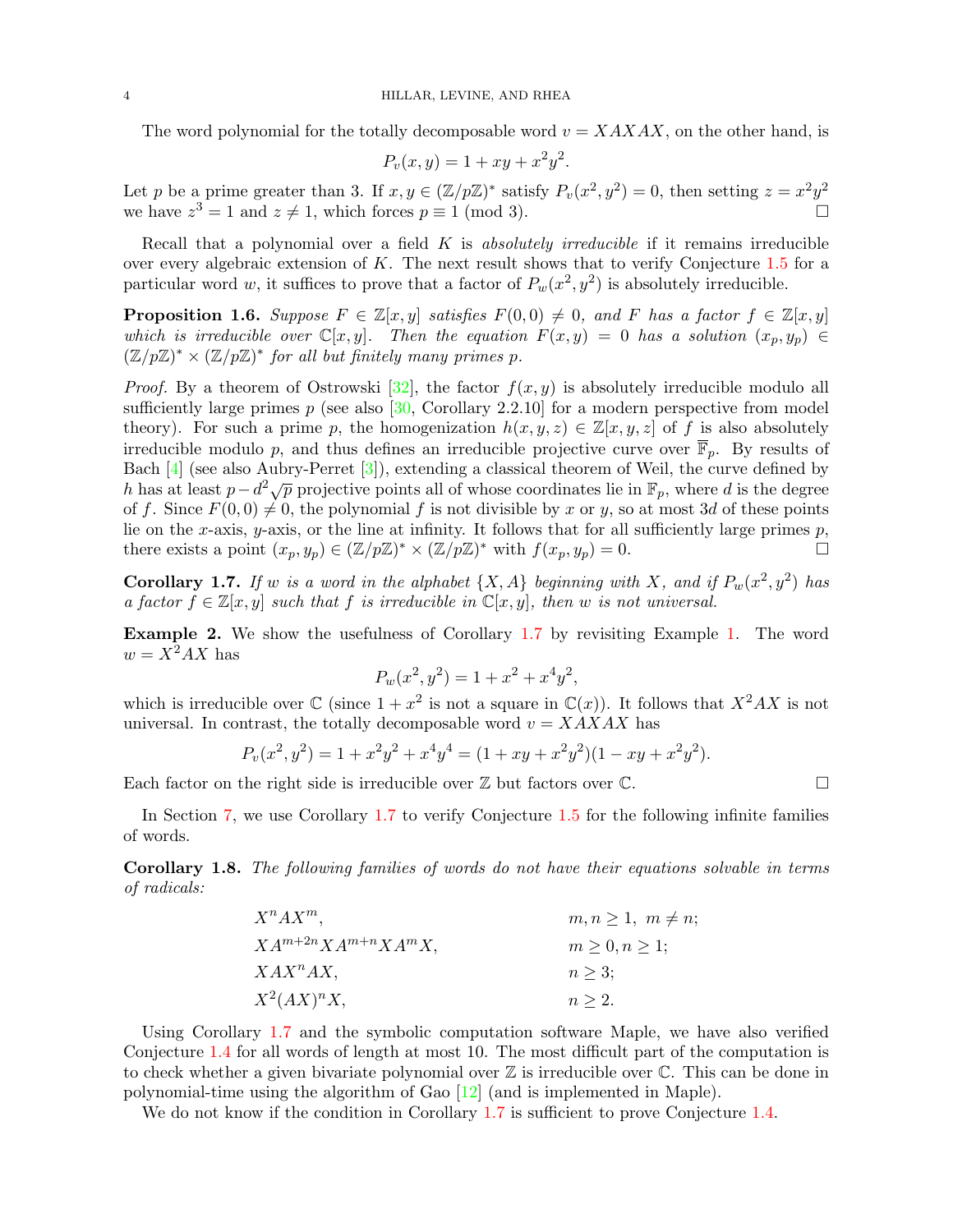The word polynomial for the totally decomposable word  $v = XAXAX$ , on the other hand, is

$$
P_v(x, y) = 1 + xy + x^2 y^2.
$$

Let p be a prime greater than 3. If  $x, y \in (\mathbb{Z}/p\mathbb{Z})^*$  satisfy  $P_v(x^2, y^2) = 0$ , then setting  $z = x^2y^2$ we have  $z^3 = 1$  and  $z \neq 1$ , which forces  $p \equiv 1 \pmod{3}$ .

Recall that a polynomial over a field  $K$  is *absolutely irreducible* if it remains irreducible over every algebraic extension of K. The next result shows that to verify Conjecture [1.5](#page-2-2) for a particular word w, it suffices to prove that a factor of  $P_w(x^2, y^2)$  is absolutely irreducible.

**Proposition 1.6.** Suppose  $F \in \mathbb{Z}[x, y]$  satisfies  $F(0, 0) \neq 0$ , and F has a factor  $f \in \mathbb{Z}[x, y]$ which is irreducible over  $\mathbb{C}[x,y]$ . Then the equation  $F(x,y) = 0$  has a solution  $(x_p, y_p) \in$  $(\mathbb{Z}/p\mathbb{Z})^* \times (\mathbb{Z}/p\mathbb{Z})^*$  for all but finitely many primes p.

*Proof.* By a theorem of Ostrowski [\[32\]](#page-17-1), the factor  $f(x, y)$  is absolutely irreducible modulo all sufficiently large primes  $p$  (see also [\[30,](#page-16-3) Corollary 2.2.10] for a modern perspective from model theory). For such a prime p, the homogenization  $h(x, y, z) \in \mathbb{Z}[x, y, z]$  of f is also absolutely irreducible modulo p, and thus defines an irreducible projective curve over  $\overline{\mathbb{F}}_p$ . By results of Bach [\[4\]](#page-16-4) (see also Aubry-Perret [\[3\]](#page-16-5)), extending a classical theorem of Weil, the curve defined by Dath  $\left[\frac{4}{1}\right]$  (see also Aubry-1 effect  $\left[\frac{5}{7}\right]$ ), extending a classical theorem of went, the curve defined by h has at least  $p-d^2\sqrt{p}$  projective points all of whose coordinates lie in  $\mathbb{F}_p$ , where d is t of f. Since  $F(0, 0) \neq 0$ , the polynomial f is not divisible by x or y, so at most 3d of these points lie on the x-axis, y-axis, or the line at infinity. It follows that for all sufficiently large primes  $p$ , there exists a point  $(x_p, y_p) \in (\mathbb{Z}/p\mathbb{Z})^* \times (\mathbb{Z}/p\mathbb{Z})^*$  with  $f(x_p, y_p) = 0$ .

<span id="page-3-0"></span>**Corollary 1.7.** If w is a word in the alphabet  $\{X, A\}$  beginning with X, and if  $P_w(x^2, y^2)$  has a factor  $f \in \mathbb{Z}[x, y]$  such that f is irreducible in  $\mathbb{C}[x, y]$ , then w is not universal.

Example 2. We show the usefulness of Corollary [1.7](#page-3-0) by revisiting Example [1.](#page-2-0) The word  $w = X^2AX$  has

$$
P_w(x^2, y^2) = 1 + x^2 + x^4y^2,
$$

which is irreducible over  $\mathbb C$  (since  $1 + x^2$  is not a square in  $\mathbb C(x)$ ). It follows that  $X^2AX$  is not universal. In contrast, the totally decomposable word  $v = XAXAX$  has

$$
P_v(x^2, y^2) = 1 + x^2y^2 + x^4y^4 = (1 + xy + x^2y^2)(1 - xy + x^2y^2).
$$

Each factor on the right side is irreducible over  $\mathbb Z$  but factors over  $\mathbb C$ .

In Section [7,](#page-13-0) we use Corollary [1.7](#page-3-0) to verify Conjecture [1.5](#page-2-2) for the following infinite families of words.

<span id="page-3-1"></span>Corollary 1.8. The following families of words do not have their equations solvable in terms of radicals:

$$
X^{n}AX^{m}, \t m, n \ge 1, m \ne n;
$$
  
\n
$$
XA^{m+2n}XA^{m+n}XA^{m}X,
$$
  
\n
$$
m \ge 0, n \ge 1;
$$
  
\n
$$
XAX^{n}AX,
$$
  
\n
$$
n \ge 3;
$$
  
\n
$$
n \ge 2.
$$

Using Corollary [1.7](#page-3-0) and the symbolic computation software Maple, we have also verified Conjecture [1.4](#page-2-1) for all words of length at most 10. The most difficult part of the computation is to check whether a given bivariate polynomial over  $\mathbb Z$  is irreducible over  $\mathbb C$ . This can be done in polynomial-time using the algorithm of Gao  $[12]$  (and is implemented in Maple).

We do not know if the condition in Corollary [1.7](#page-3-0) is sufficient to prove Conjecture [1.4.](#page-2-1)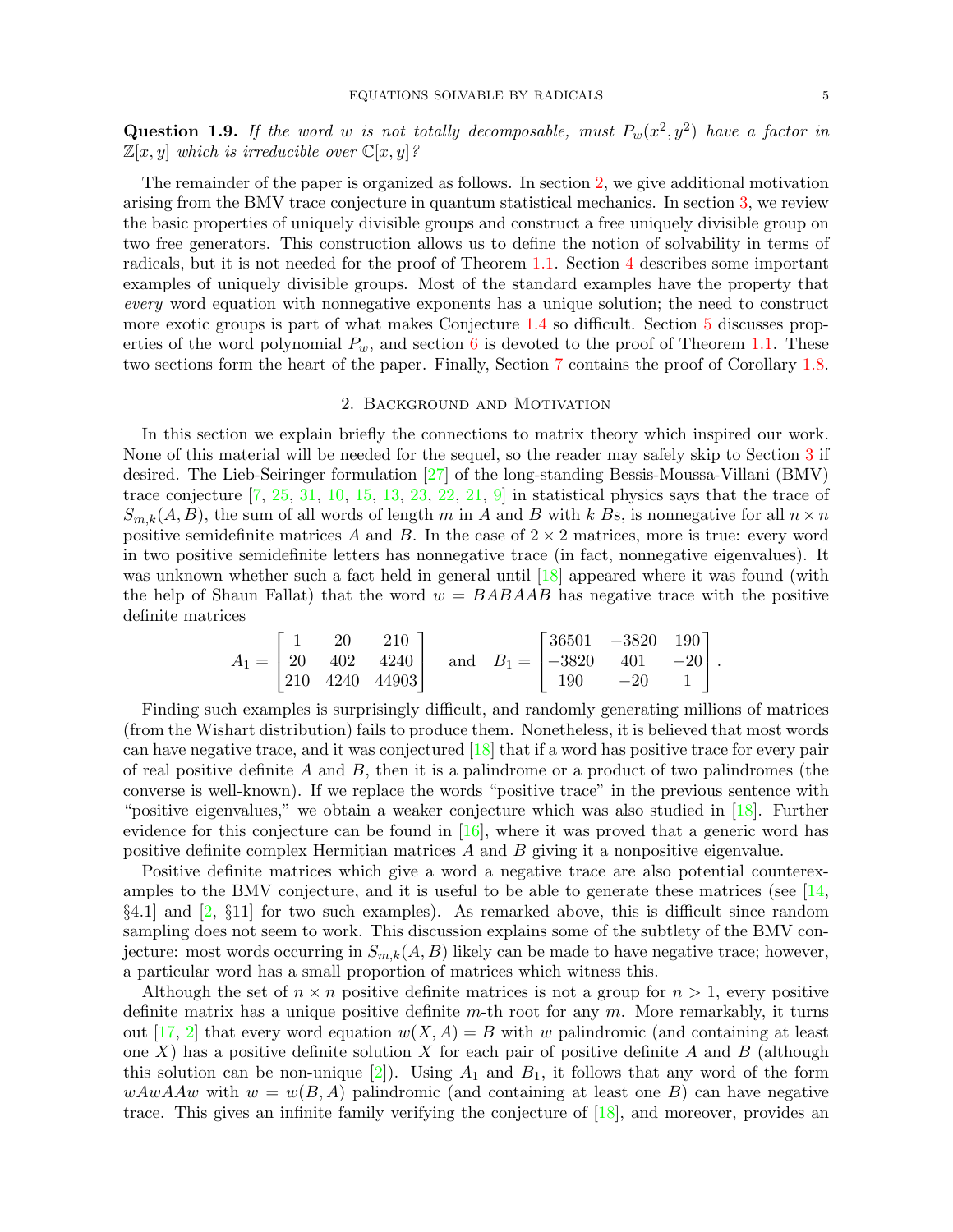**Question 1.9.** If the word w is not totally decomposable, must  $P_w(x^2, y^2)$  have a factor in  $\mathbb{Z}[x, y]$  which is irreducible over  $\mathbb{C}[x, y]$ ?

The remainder of the paper is organized as follows. In section [2,](#page-4-0) we give additional motivation arising from the BMV trace conjecture in quantum statistical mechanics. In section [3,](#page-5-0) we review the basic properties of uniquely divisible groups and construct a free uniquely divisible group on two free generators. This construction allows us to define the notion of solvability in terms of radicals, but it is not needed for the proof of Theorem [1.1.](#page-1-0) Section [4](#page-7-0) describes some important examples of uniquely divisible groups. Most of the standard examples have the property that every word equation with nonnegative exponents has a unique solution; the need to construct more exotic groups is part of what makes Conjecture [1.4](#page-2-1) so difficult. Section [5](#page-9-1) discusses properties of the word polynomial  $P_w$ , and section [6](#page-11-0) is devoted to the proof of Theorem [1.1.](#page-1-0) These two sections form the heart of the paper. Finally, Section [7](#page-13-0) contains the proof of Corollary [1.8.](#page-3-1)

## 2. Background and Motivation

<span id="page-4-0"></span>In this section we explain briefly the connections to matrix theory which inspired our work. None of this material will be needed for the sequel, so the reader may safely skip to Section [3](#page-5-0) if desired. The Lieb-Seiringer formulation [\[27\]](#page-16-7) of the long-standing Bessis-Moussa-Villani (BMV) trace conjecture  $\begin{bmatrix} 7, 25, 31, 10, 15, 13, 23, 22, 21, 9 \end{bmatrix}$  $\begin{bmatrix} 7, 25, 31, 10, 15, 13, 23, 22, 21, 9 \end{bmatrix}$  $\begin{bmatrix} 7, 25, 31, 10, 15, 13, 23, 22, 21, 9 \end{bmatrix}$  $\begin{bmatrix} 7, 25, 31, 10, 15, 13, 23, 22, 21, 9 \end{bmatrix}$  $\begin{bmatrix} 7, 25, 31, 10, 15, 13, 23, 22, 21, 9 \end{bmatrix}$  $\begin{bmatrix} 7, 25, 31, 10, 15, 13, 23, 22, 21, 9 \end{bmatrix}$  $\begin{bmatrix} 7, 25, 31, 10, 15, 13, 23, 22, 21, 9 \end{bmatrix}$  $\begin{bmatrix} 7, 25, 31, 10, 15, 13, 23, 22, 21, 9 \end{bmatrix}$  $\begin{bmatrix} 7, 25, 31, 10, 15, 13, 23, 22, 21, 9 \end{bmatrix}$  $\begin{bmatrix} 7, 25, 31, 10, 15, 13, 23, 22, 21, 9 \end{bmatrix}$  $\begin{bmatrix} 7, 25, 31, 10, 15, 13, 23, 22, 21, 9 \end{bmatrix}$  $\begin{bmatrix} 7, 25, 31, 10, 15, 13, 23, 22, 21, 9 \end{bmatrix}$  $\begin{bmatrix} 7, 25, 31, 10, 15, 13, 23, 22, 21, 9 \end{bmatrix}$  $\begin{bmatrix} 7, 25, 31, 10, 15, 13, 23, 22, 21, 9 \end{bmatrix}$  $\begin{bmatrix} 7, 25, 31, 10, 15, 13, 23, 22, 21, 9 \end{bmatrix}$  $\begin{bmatrix} 7, 25, 31, 10, 15, 13, 23, 22, 21, 9 \end{bmatrix}$  $\begin{bmatrix} 7, 25, 31, 10, 15, 13, 23, 22, 21, 9 \end{bmatrix}$  in statistical physics says that the trace of  $S_{m,k}(A, B)$ , the sum of all words of length m in A and B with k Bs, is nonnegative for all  $n \times n$ positive semidefinite matrices A and B. In the case of  $2 \times 2$  matrices, more is true: every word in two positive semidefinite letters has nonnegative trace (in fact, nonnegative eigenvalues). It was unknown whether such a fact held in general until [\[18\]](#page-16-18) appeared where it was found (with the help of Shaun Fallat) that the word  $w = BABAAB$  has negative trace with the positive definite matrices

$$
A_1 = \begin{bmatrix} 1 & 20 & 210 \\ 20 & 402 & 4240 \\ 210 & 4240 & 44903 \end{bmatrix} \text{ and } B_1 = \begin{bmatrix} 36501 & -3820 & 190 \\ -3820 & 401 & -20 \\ 190 & -20 & 1 \end{bmatrix}.
$$

Finding such examples is surprisingly difficult, and randomly generating millions of matrices (from the Wishart distribution) fails to produce them. Nonetheless, it is believed that most words can have negative trace, and it was conjectured [\[18\]](#page-16-18) that if a word has positive trace for every pair of real positive definite  $A$  and  $B$ , then it is a palindrome or a product of two palindromes (the converse is well-known). If we replace the words "positive trace" in the previous sentence with "positive eigenvalues," we obtain a weaker conjecture which was also studied in [\[18\]](#page-16-18). Further evidence for this conjecture can be found in  $[16]$ , where it was proved that a generic word has positive definite complex Hermitian matrices A and B giving it a nonpositive eigenvalue.

Positive definite matrices which give a word a negative trace are also potential counterexamples to the BMV conjecture, and it is useful to be able to generate these matrices (see  $[14,$  $\S4.1$ ] and  $\S2$ ,  $\S11$ ] for two such examples). As remarked above, this is difficult since random sampling does not seem to work. This discussion explains some of the subtlety of the BMV conjecture: most words occurring in  $S_{m,k}(A, B)$  likely can be made to have negative trace; however, a particular word has a small proportion of matrices which witness this.

Although the set of  $n \times n$  positive definite matrices is not a group for  $n > 1$ , every positive definite matrix has a unique positive definite  $m$ -th root for any  $m$ . More remarkably, it turns out [\[17,](#page-16-22) [2\]](#page-16-21) that every word equation  $w(X, A) = B$  with w palindromic (and containing at least one X) has a positive definite solution X for each pair of positive definite A and B (although this solution can be non-unique  $[2]$ . Using  $A_1$  and  $B_1$ , it follows that any word of the form  $wAwAAw$  with  $w=w(B,A)$  palindromic (and containing at least one B) can have negative trace. This gives an infinite family verifying the conjecture of [\[18\]](#page-16-18), and moreover, provides an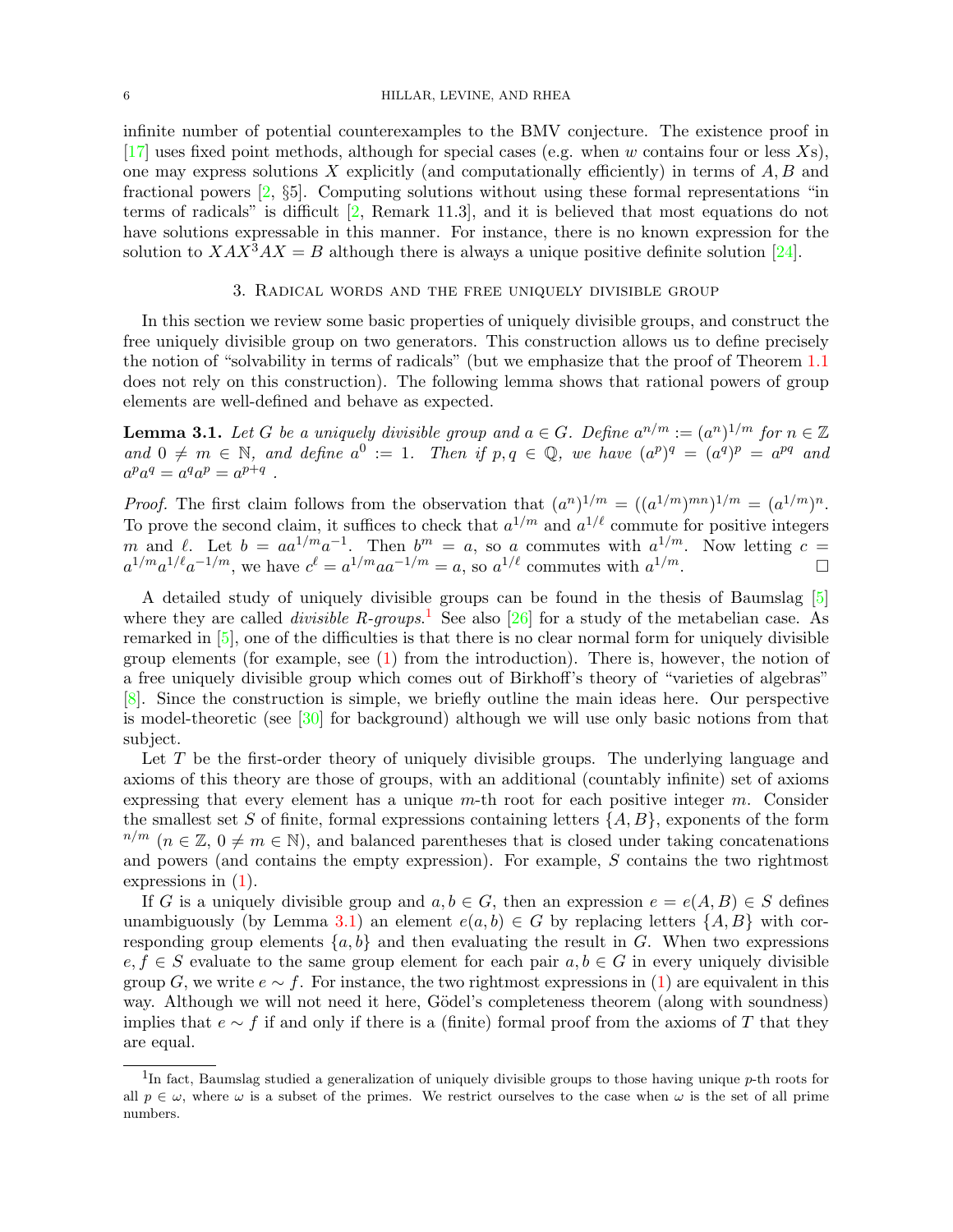infinite number of potential counterexamples to the BMV conjecture. The existence proof in [\[17\]](#page-16-22) uses fixed point methods, although for special cases (e.g. when w contains four or less  $X_s$ ), one may express solutions  $X$  explicitly (and computationally efficiently) in terms of  $A, B$  and fractional powers [\[2,](#page-16-21) §5]. Computing solutions without using these formal representations "in terms of radicals" is difficult [\[2,](#page-16-21) Remark 11.3], and it is believed that most equations do not have solutions expressable in this manner. For instance, there is no known expression for the solution to  $XAX^3AX = B$  although there is always a unique positive definite solution [\[24\]](#page-16-23).

## 3. Radical words and the free uniquely divisible group

<span id="page-5-0"></span>In this section we review some basic properties of uniquely divisible groups, and construct the free uniquely divisible group on two generators. This construction allows us to define precisely the notion of "solvability in terms of radicals" (but we emphasize that the proof of Theorem [1.1](#page-1-0) does not rely on this construction). The following lemma shows that rational powers of group elements are well-defined and behave as expected.

<span id="page-5-2"></span>**Lemma 3.1.** Let G be a uniquely divisible group and  $a \in G$ . Define  $a^{n/m} := (a^n)^{1/m}$  for  $n \in \mathbb{Z}$ and  $0 \neq m \in \mathbb{N}$ , and define  $a^0 := 1$ . Then if  $p, q \in \mathbb{Q}$ , we have  $(a^p)^q = (a^q)^p = a^{pq}$  and  $a^p a^q = a^q a^p = a^{p+q}$ .

*Proof.* The first claim follows from the observation that  $(a^n)^{1/m} = ((a^{1/m})^{mn})^{1/m} = (a^{1/m})^n$ . To prove the second claim, it suffices to check that  $a^{1/m}$  and  $a^{1/\ell}$  commute for positive integers m and  $\ell$ . Let  $b = aa^{1/m}a^{-1}$ . Then  $b^m = a$ , so a commutes with  $a^{1/m}$ . Now letting  $c =$  $a^{1/m}a^{1/\ell}a^{-1/m}$ , we have  $c^{\ell} = a^{1/m}aa^{-1/m} = a$ , so  $a^{1/\ell}$  commutes with  $a^{1/m}$ .

A detailed study of uniquely divisible groups can be found in the thesis of Baumslag [\[5\]](#page-16-24) where they are called *divisible* R-groups.<sup>[1](#page-5-1)</sup> See also [\[26\]](#page-16-25) for a study of the metabelian case. As remarked in [\[5\]](#page-16-24), one of the difficulties is that there is no clear normal form for uniquely divisible group elements (for example, see [\(1\)](#page-0-1) from the introduction). There is, however, the notion of a free uniquely divisible group which comes out of Birkhoff's theory of "varieties of algebras" [\[8\]](#page-16-26). Since the construction is simple, we briefly outline the main ideas here. Our perspective is model-theoretic (see [\[30\]](#page-16-3) for background) although we will use only basic notions from that subject.

Let T be the first-order theory of uniquely divisible groups. The underlying language and axioms of this theory are those of groups, with an additional (countably infinite) set of axioms expressing that every element has a unique  $m$ -th root for each positive integer  $m$ . Consider the smallest set S of finite, formal expressions containing letters  $\{A, B\}$ , exponents of the form  $n/m$  ( $n \in \mathbb{Z}$ ,  $0 \neq m \in \mathbb{N}$ ), and balanced parentheses that is closed under taking concatenations and powers (and contains the empty expression). For example, S contains the two rightmost expressions in [\(1\)](#page-0-1).

If G is a uniquely divisible group and  $a, b \in G$ , then an expression  $e = e(A, B) \in S$  defines unambiguously (by Lemma [3.1\)](#page-5-2) an element  $e(a, b) \in G$  by replacing letters  $\{A, B\}$  with corresponding group elements  $\{a, b\}$  and then evaluating the result in G. When two expressions  $e, f \in S$  evaluate to the same group element for each pair  $a, b \in G$  in every uniquely divisible group G, we write  $e \sim f$ . For instance, the two rightmost expressions in [\(1\)](#page-0-1) are equivalent in this way. Although we will not need it here, Gödel's completeness theorem (along with soundness) implies that  $e \sim f$  if and only if there is a (finite) formal proof from the axioms of T that they are equal.

<span id="page-5-1"></span><sup>&</sup>lt;sup>1</sup>In fact, Baumslag studied a generalization of uniquely divisible groups to those having unique p-th roots for all  $p \in \omega$ , where  $\omega$  is a subset of the primes. We restrict ourselves to the case when  $\omega$  is the set of all prime numbers.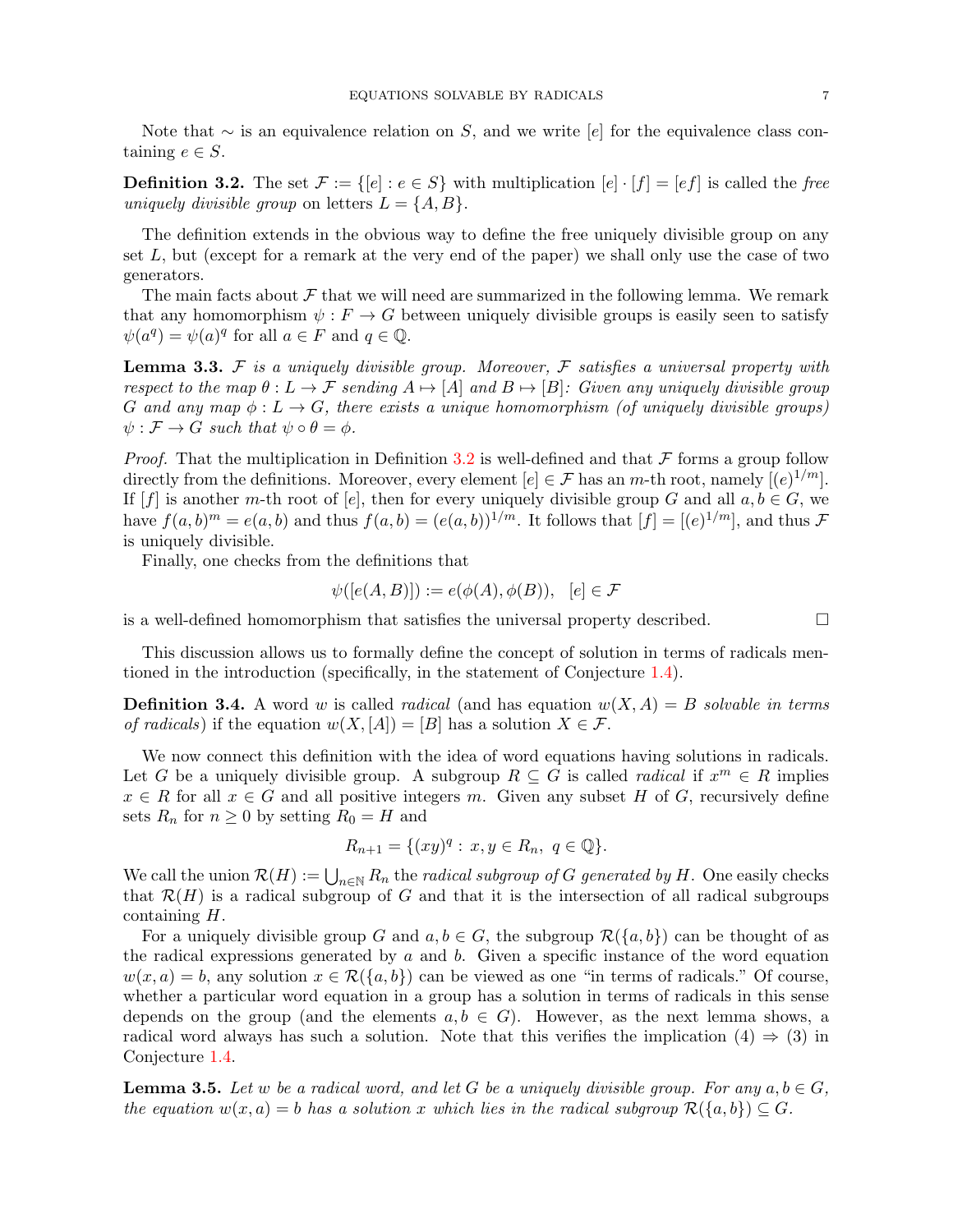Note that  $\sim$  is an equivalence relation on S, and we write [e] for the equivalence class containing  $e \in S$ .

<span id="page-6-1"></span>**Definition 3.2.** The set  $\mathcal{F} := \{[e] : e \in S\}$  with multiplication  $[e] \cdot [f] = [ef]$  is called the free uniquely divisible group on letters  $L = \{A, B\}.$ 

The definition extends in the obvious way to define the free uniquely divisible group on any set  $L$ , but (except for a remark at the very end of the paper) we shall only use the case of two generators.

The main facts about  $\mathcal F$  that we will need are summarized in the following lemma. We remark that any homomorphism  $\psi : F \to G$  between uniquely divisible groups is easily seen to satisfy  $\psi(a^q) = \psi(a)^q$  for all  $a \in F$  and  $q \in \mathbb{Q}$ .

<span id="page-6-2"></span>**Lemma 3.3.**  $\mathcal F$  is a uniquely divisible group. Moreover,  $\mathcal F$  satisfies a universal property with respect to the map  $\theta : L \to \mathcal{F}$  sending  $A \mapsto [A]$  and  $B \mapsto [B]$ : Given any uniquely divisible group G and any map  $\phi: L \to G$ , there exists a unique homomorphism (of uniquely divisible groups)  $\psi : \mathcal{F} \to G$  such that  $\psi \circ \theta = \phi$ .

*Proof.* That the multiplication in Definition [3.2](#page-6-1) is well-defined and that  $\mathcal F$  forms a group follow directly from the definitions. Moreover, every element  $[e] \in \mathcal{F}$  has an m-th root, namely  $[(e)^{1/m}]$ . If  $[f]$  is another m-th root of [e], then for every uniquely divisible group G and all  $a, b \in G$ , we have  $f(a, b)^m = e(a, b)$  and thus  $f(a, b) = (e(a, b))^{1/m}$ . It follows that  $[f] = [(e)^{1/m}]$ , and thus  $\mathcal F$ is uniquely divisible.

Finally, one checks from the definitions that

$$
\psi([e(A, B)]) := e(\phi(A), \phi(B)), \ [e] \in \mathcal{F}
$$

is a well-defined homomorphism that satisfies the universal property described.

This discussion allows us to formally define the concept of solution in terms of radicals mentioned in the introduction (specifically, in the statement of Conjecture [1.4\)](#page-2-1).

<span id="page-6-0"></span>**Definition 3.4.** A word w is called *radical* (and has equation  $w(X, A) = B$  solvable in terms of radicals) if the equation  $w(X, A) = B$  has a solution  $X \in \mathcal{F}$ .

We now connect this definition with the idea of word equations having solutions in radicals. Let G be a uniquely divisible group. A subgroup  $R \subseteq G$  is called *radical* if  $x^m \in R$  implies  $x \in R$  for all  $x \in G$  and all positive integers m. Given any subset H of G, recursively define sets  $R_n$  for  $n \geq 0$  by setting  $R_0 = H$  and

$$
R_{n+1} = \{(xy)^q : x, y \in R_n, q \in \mathbb{Q}\}.
$$

We call the union  $\mathcal{R}(H) := \bigcup_{n \in \mathbb{N}} R_n$  the *radical subgroup of G generated by H*. One easily checks that  $\mathcal{R}(H)$  is a radical subgroup of G and that it is the intersection of all radical subgroups containing H.

For a uniquely divisible group G and  $a, b \in G$ , the subgroup  $\mathcal{R}(\{a, b\})$  can be thought of as the radical expressions generated by  $a$  and  $b$ . Given a specific instance of the word equation  $w(x, a) = b$ , any solution  $x \in \mathcal{R}(\{a, b\})$  can be viewed as one "in terms of radicals." Of course, whether a particular word equation in a group has a solution in terms of radicals in this sense depends on the group (and the elements  $a, b \in G$ ). However, as the next lemma shows, a radical word always has such a solution. Note that this verifies the implication  $(4) \Rightarrow (3)$  in Conjecture [1.4.](#page-2-1)

**Lemma 3.5.** Let w be a radical word, and let G be a uniquely divisible group. For any  $a, b \in G$ , the equation  $w(x, a) = b$  has a solution x which lies in the radical subgroup  $\mathcal{R}(\{a, b\}) \subseteq G$ .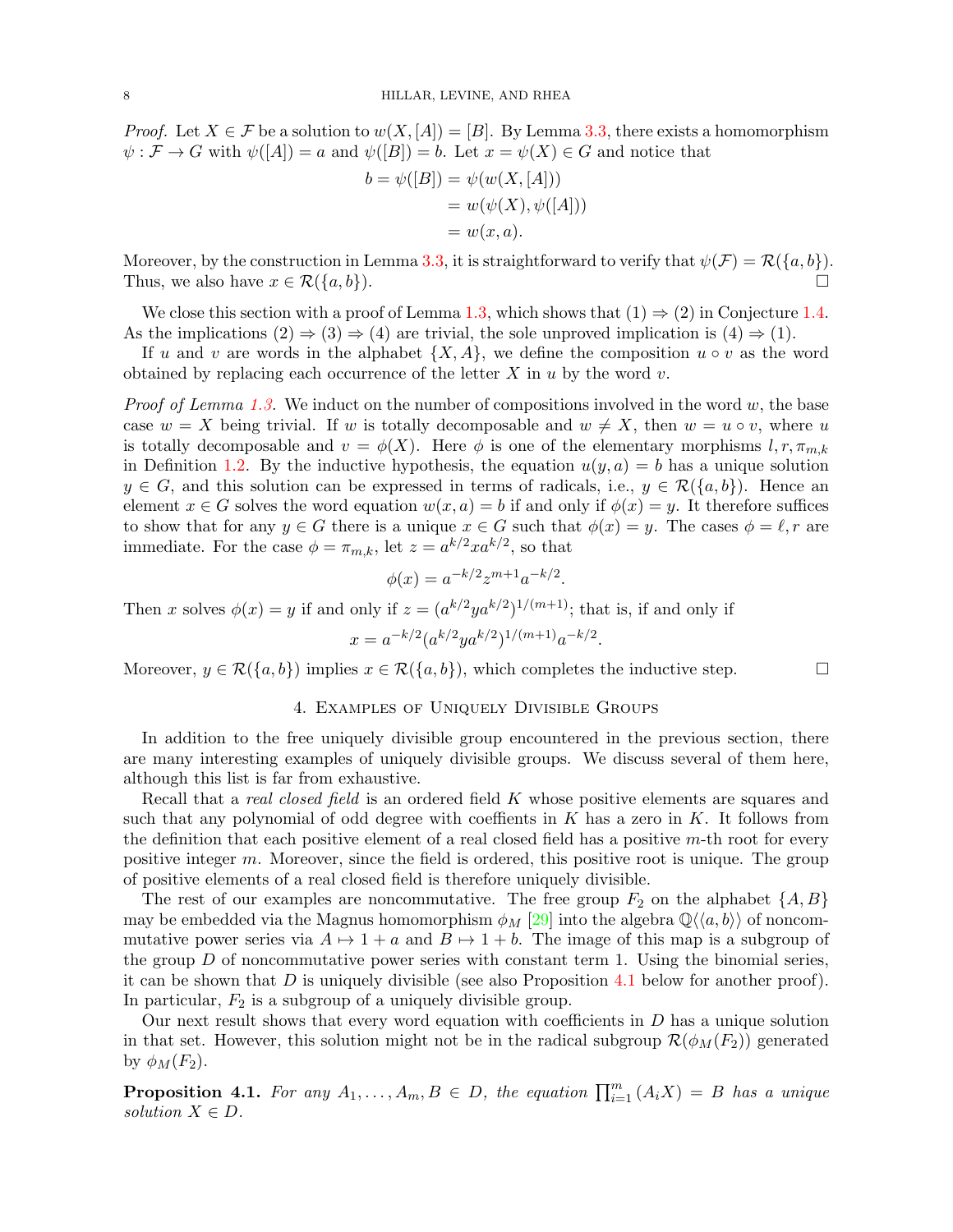*Proof.* Let  $X \in \mathcal{F}$  be a solution to  $w(X, [A]) = [B]$ . By Lemma [3.3,](#page-6-2) there exists a homomorphism  $\psi : \mathcal{F} \to G$  with  $\psi([A]) = a$  and  $\psi([B]) = b$ . Let  $x = \psi(X) \in G$  and notice that

$$
b = \psi([B]) = \psi(w(X, [A]))
$$
  
=  $w(\psi(X), \psi([A]))$   
=  $w(x, a)$ .

Moreover, by the construction in Lemma [3.3,](#page-6-2) it is straightforward to verify that  $\psi(\mathcal{F}) = \mathcal{R}(\{a, b\}).$ Thus, we also have  $x \in \mathcal{R}(\{a, b\}).$ 

We close this section with a proof of Lemma [1.3,](#page-2-3) which shows that  $(1) \Rightarrow (2)$  in Conjecture [1.4.](#page-2-1) As the implications  $(2) \Rightarrow (3) \Rightarrow (4)$  are trivial, the sole unproved implication is  $(4) \Rightarrow (1)$ .

If u and v are words in the alphabet  $\{X, A\}$ , we define the composition  $u \circ v$  as the word obtained by replacing each occurrence of the letter  $X$  in  $u$  by the word  $v$ .

*Proof of Lemma [1.3.](#page-2-3)* We induct on the number of compositions involved in the word  $w$ , the base case  $w = X$  being trivial. If w is totally decomposable and  $w \neq X$ , then  $w = u \circ v$ , where u is totally decomposable and  $v = \phi(X)$ . Here  $\phi$  is one of the elementary morphisms  $l, r, \pi_{m,k}$ in Definition [1.2.](#page-1-1) By the inductive hypothesis, the equation  $u(y, a) = b$  has a unique solution  $y \in G$ , and this solution can be expressed in terms of radicals, i.e.,  $y \in \mathcal{R}(\{a, b\})$ . Hence an element  $x \in G$  solves the word equation  $w(x, a) = b$  if and only if  $\phi(x) = y$ . It therefore suffices to show that for any  $y \in G$  there is a unique  $x \in G$  such that  $\phi(x) = y$ . The cases  $\phi = \ell, r$  are immediate. For the case  $\phi = \pi_{m,k}$ , let  $z = a^{k/2} x a^{k/2}$ , so that

$$
\phi(x) = a^{-k/2} z^{m+1} a^{-k/2}.
$$

Then x solves  $\phi(x) = y$  if and only if  $z = (a^{k/2}ya^{k/2})^{1/(m+1)}$ ; that is, if and only if

$$
x = a^{-k/2} (a^{k/2} y a^{k/2})^{1/(m+1)} a^{-k/2}.
$$

Moreover,  $y \in \mathcal{R}(\{a, b\})$  implies  $x \in \mathcal{R}(\{a, b\})$ , which completes the inductive step.

## 4. Examples of Uniquely Divisible Groups

<span id="page-7-0"></span>In addition to the free uniquely divisible group encountered in the previous section, there are many interesting examples of uniquely divisible groups. We discuss several of them here, although this list is far from exhaustive.

Recall that a *real closed field* is an ordered field K whose positive elements are squares and such that any polynomial of odd degree with coeffients in  $K$  has a zero in  $K$ . It follows from the definition that each positive element of a real closed field has a positive  $m$ -th root for every positive integer m. Moreover, since the field is ordered, this positive root is unique. The group of positive elements of a real closed field is therefore uniquely divisible.

The rest of our examples are noncommutative. The free group  $F_2$  on the alphabet  $\{A, B\}$ may be embedded via the Magnus homomorphism  $\phi_M$  [\[29\]](#page-16-27) into the algebra  $\mathbb{Q}\langle\langle a, b \rangle\rangle$  of noncommutative power series via  $A \mapsto 1 + a$  and  $B \mapsto 1 + b$ . The image of this map is a subgroup of the group  $D$  of noncommutative power series with constant term 1. Using the binomial series, it can be shown that  $D$  is uniquely divisible (see also Proposition [4.1](#page-7-1) below for another proof). In particular,  $F_2$  is a subgroup of a uniquely divisible group.

Our next result shows that every word equation with coefficients in  $D$  has a unique solution in that set. However, this solution might not be in the radical subgroup  $\mathcal{R}(\phi_M(F_2))$  generated by  $\phi_M(F_2)$ .

<span id="page-7-1"></span>**Proposition 4.1.** For any  $A_1, \ldots, A_m, B \in D$ , the equation  $\prod_{i=1}^m (A_i X) = B$  has a unique solution  $X \in D$ .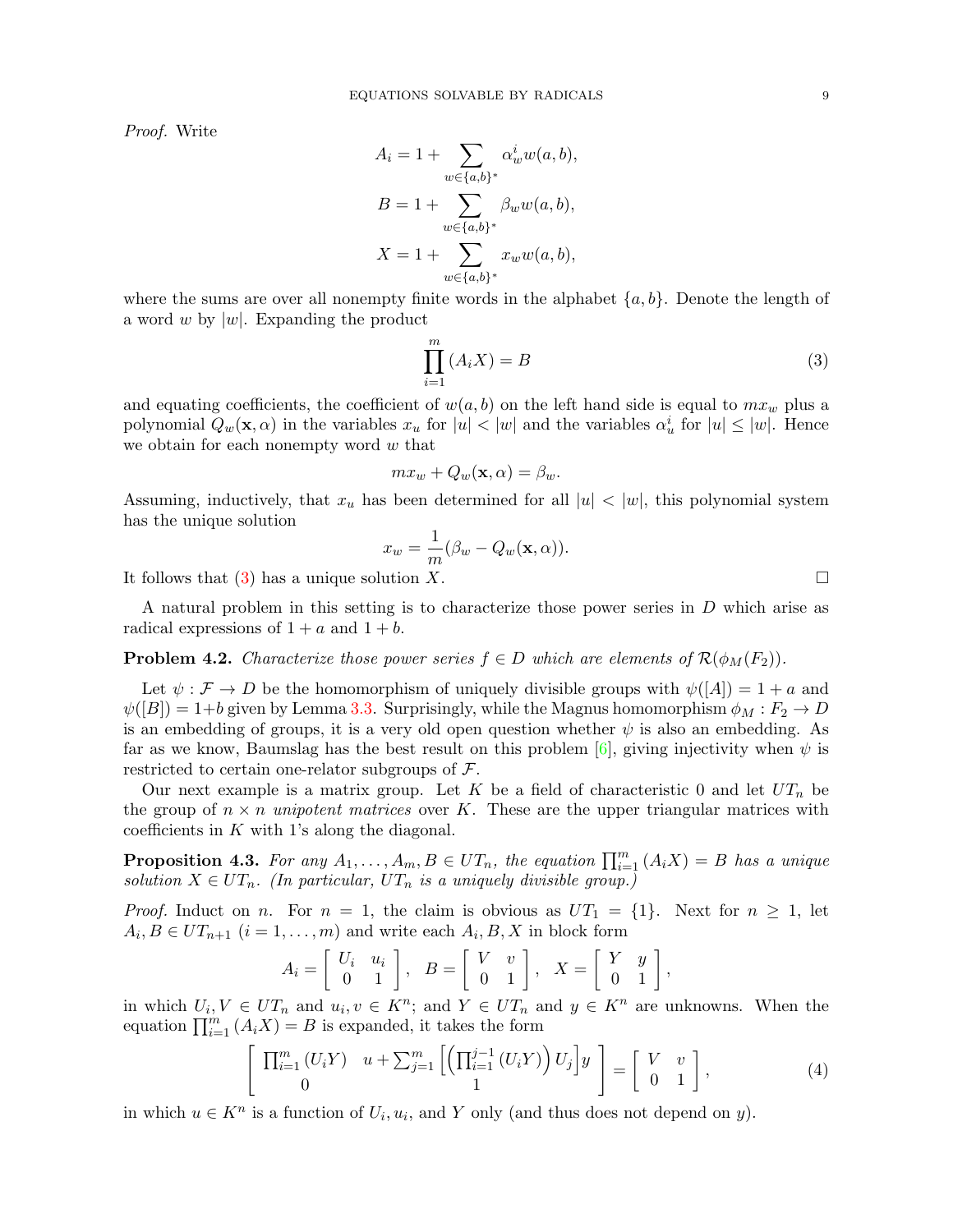Proof. Write

$$
A_i = 1 + \sum_{w \in \{a,b\}^*} \alpha_w^i w(a, b),
$$
  
\n
$$
B = 1 + \sum_{w \in \{a,b\}^*} \beta_w w(a, b),
$$
  
\n
$$
X = 1 + \sum_{w \in \{a,b\}^*} x_w w(a, b),
$$

where the sums are over all nonempty finite words in the alphabet  $\{a, b\}$ . Denote the length of a word w by  $|w|$ . Expanding the product

<span id="page-8-0"></span>
$$
\prod_{i=1}^{m} (A_i X) = B \tag{3}
$$

and equating coefficients, the coefficient of  $w(a, b)$  on the left hand side is equal to  $mx_w$  plus a polynomial  $Q_w(\mathbf{x}, \alpha)$  in the variables  $x_u$  for  $|u| < |w|$  and the variables  $\alpha_u^i$  for  $|u| \leq |w|$ . Hence we obtain for each nonempty word  $\boldsymbol{w}$  that

$$
mx_w + Q_w(\mathbf{x}, \alpha) = \beta_w.
$$

Assuming, inductively, that  $x_u$  has been determined for all  $|u| < |w|$ , this polynomial system has the unique solution

$$
x_w = \frac{1}{m}(\beta_w - Q_w(\mathbf{x}, \alpha)).
$$

It follows that [\(3\)](#page-8-0) has a unique solution X.

A natural problem in this setting is to characterize those power series in D which arise as radical expressions of  $1 + a$  and  $1 + b$ .

# **Problem 4.2.** Characterize those power series  $f \in D$  which are elements of  $\mathcal{R}(\phi_M(F_2))$ .

Let  $\psi : \mathcal{F} \to D$  be the homomorphism of uniquely divisible groups with  $\psi([A]) = 1 + a$  and  $\psi([B]) = 1+b$  given by Lemma [3.3.](#page-6-2) Surprisingly, while the Magnus homomorphism  $\phi_M : F_2 \to D$ is an embedding of groups, it is a very old open question whether  $\psi$  is also an embedding. As far as we know, Baumslag has the best result on this problem  $[6]$ , giving injectivity when  $\psi$  is restricted to certain one-relator subgroups of  $\mathcal{F}$ .

Our next example is a matrix group. Let K be a field of characteristic 0 and let  $UT_n$  be the group of  $n \times n$  unipotent matrices over K. These are the upper triangular matrices with coefficients in  $K$  with 1's along the diagonal.

<span id="page-8-1"></span>**Proposition 4.3.** For any  $A_1, \ldots, A_m, B \in UT_n$ , the equation  $\prod_{i=1}^m (A_i X) = B$  has a unique solution  $X \in UT_n$ . (In particular,  $UT_n$  is a uniquely divisible group.)

*Proof.* Induct on n. For  $n = 1$ , the claim is obvious as  $UT_1 = \{1\}$ . Next for  $n \ge 1$ , let  $A_i, B \in UT_{n+1}$   $(i = 1, ..., m)$  and write each  $A_i, B, X$  in block form

$$
A_i = \left[ \begin{array}{cc} U_i & u_i \\ 0 & 1 \end{array} \right], \quad B = \left[ \begin{array}{cc} V & v \\ 0 & 1 \end{array} \right], \quad X = \left[ \begin{array}{cc} Y & y \\ 0 & 1 \end{array} \right],
$$

in which  $U_i, V \in UT_n$  and  $u_i, v \in K^n$ ; and  $Y \in UT_n$  and  $y \in K^n$  are unknowns. When the equation  $\prod_{i=1}^{m} (A_i X) = B$  is expanded, it takes the form

$$
\left[\begin{array}{cc} \prod_{i=1}^{m} (U_i Y) & u + \sum_{j=1}^{m} \left[ \left( \prod_{i=1}^{j-1} (U_i Y) \right) U_j \right] y \\ 0 & 1 \end{array} \right] = \left[\begin{array}{cc} V & v \\ 0 & 1 \end{array}\right],\tag{4}
$$

in which  $u \in K^n$  is a function of  $U_i, u_i$ , and Y only (and thus does not depend on y).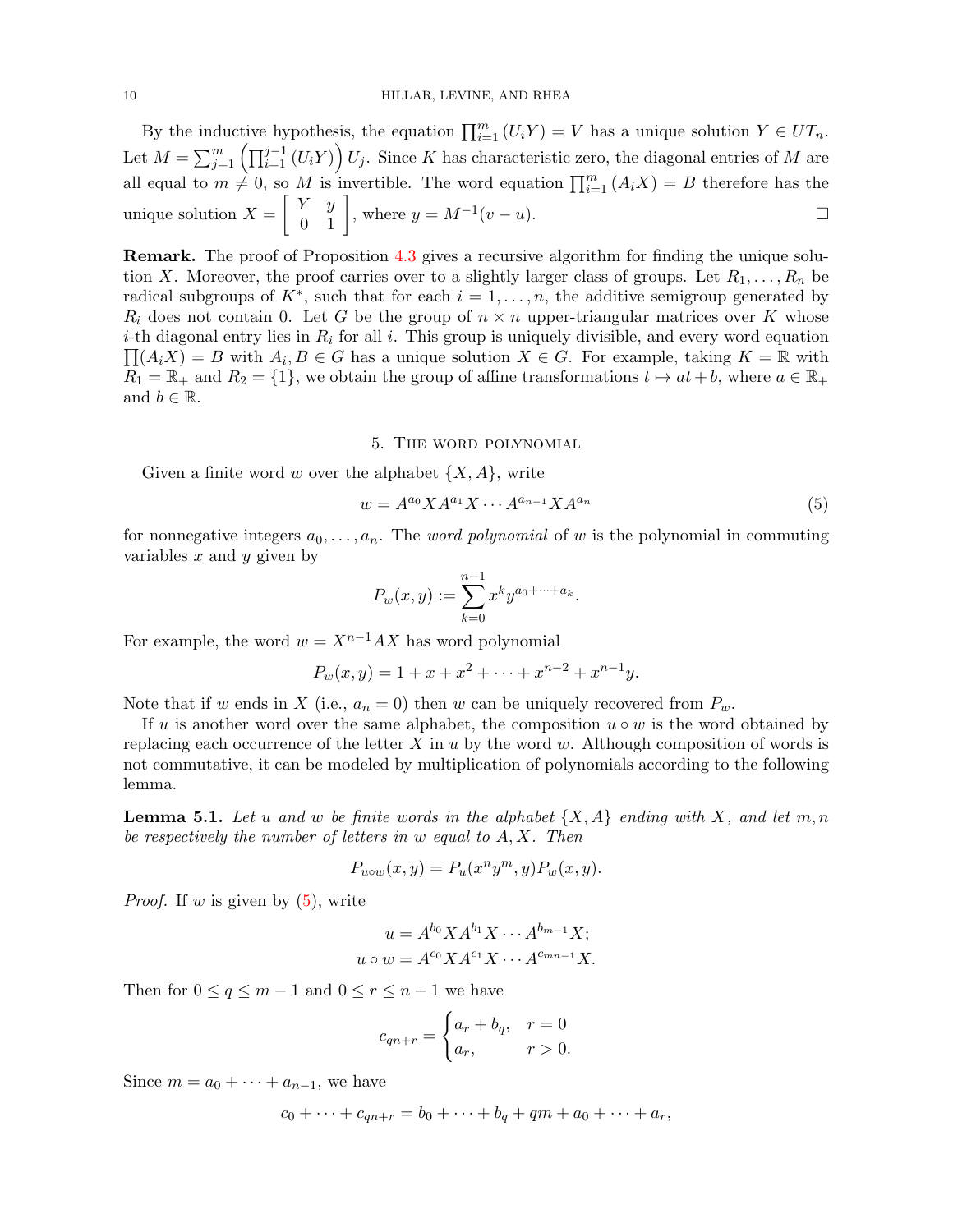By the inductive hypothesis, the equation  $\prod_{i=1}^{m} (U_i Y) = V$  has a unique solution  $Y \in UT_n$ . Let  $M = \sum_{j=1}^{m} \left( \prod_{i=1}^{j-1} (U_i Y) \right) U_j$ . Since K has characteristic zero, the diagonal entries of M are all equal to  $m \neq 0$ , so M is invertible. The word equation  $\prod_{i=1}^{m} (A_i X) = B$  therefore has the unique solution  $X = \begin{bmatrix} Y & y \\ 0 & 1 \end{bmatrix}$ , where  $y = M^{-1}(v - u)$ .

Remark. The proof of Proposition [4.3](#page-8-1) gives a recursive algorithm for finding the unique solution X. Moreover, the proof carries over to a slightly larger class of groups. Let  $R_1, \ldots, R_n$  be radical subgroups of  $K^*$ , such that for each  $i = 1, \ldots, n$ , the additive semigroup generated by  $R_i$  does not contain 0. Let G be the group of  $n \times n$  upper-triangular matrices over K whose *i*-th diagonal entry lies in  $R_i$  for all *i*. This group is uniquely divisible, and every word equation  $\prod (A_i X) = B$  with  $A_i, B \in G$  has a unique solution  $X \in G$ . For example, taking  $K = \mathbb{R}$  with  $R_1 = \mathbb{R}_+$  and  $R_2 = \{1\}$ , we obtain the group of affine transformations  $t \mapsto at + b$ , where  $a \in \mathbb{R}_+$ and  $b \in \mathbb{R}$ .

#### 5. The word polynomial

<span id="page-9-1"></span>Given a finite word w over the alphabet  $\{X, A\}$ , write

<span id="page-9-2"></span>
$$
w = A^{a_0} X A^{a_1} X \cdots A^{a_{n-1}} X A^{a_n}
$$
\n(5)

for nonnegative integers  $a_0, \ldots, a_n$ . The *word polynomial* of w is the polynomial in commuting variables  $x$  and  $y$  given by

$$
P_w(x,y) := \sum_{k=0}^{n-1} x^k y^{a_0 + \dots + a_k}.
$$

For example, the word  $w = X^{n-1}AX$  has word polynomial

$$
P_w(x, y) = 1 + x + x^2 + \dots + x^{n-2} + x^{n-1}y.
$$

Note that if w ends in X (i.e.,  $a_n = 0$ ) then w can be uniquely recovered from  $P_w$ .

If u is another word over the same alphabet, the composition  $u \circ w$  is the word obtained by replacing each occurrence of the letter  $X$  in  $u$  by the word  $w$ . Although composition of words is not commutative, it can be modeled by multiplication of polynomials according to the following lemma.

<span id="page-9-0"></span>**Lemma 5.1.** Let u and w be finite words in the alphabet  $\{X, A\}$  ending with X, and let m, n be respectively the number of letters in w equal to A, X. Then

$$
P_{u\circ w}(x,y) = P_u(x^n y^m, y) P_w(x,y).
$$

*Proof.* If w is given by  $(5)$ , write

$$
u = A^{b_0} X A^{b_1} X \cdots A^{b_{m-1}} X;
$$
  

$$
u \circ w = A^{c_0} X A^{c_1} X \cdots A^{c_{mn-1}} X.
$$

Then for  $0 \le q \le m - 1$  and  $0 \le r \le n - 1$  we have

$$
c_{qn+r} = \begin{cases} a_r + b_q, & r = 0 \\ a_r, & r > 0. \end{cases}
$$

Since  $m = a_0 + \cdots + a_{n-1}$ , we have

$$
c_0 + \cdots + c_{qn+r} = b_0 + \cdots + b_q + qm + a_0 + \cdots + a_r,
$$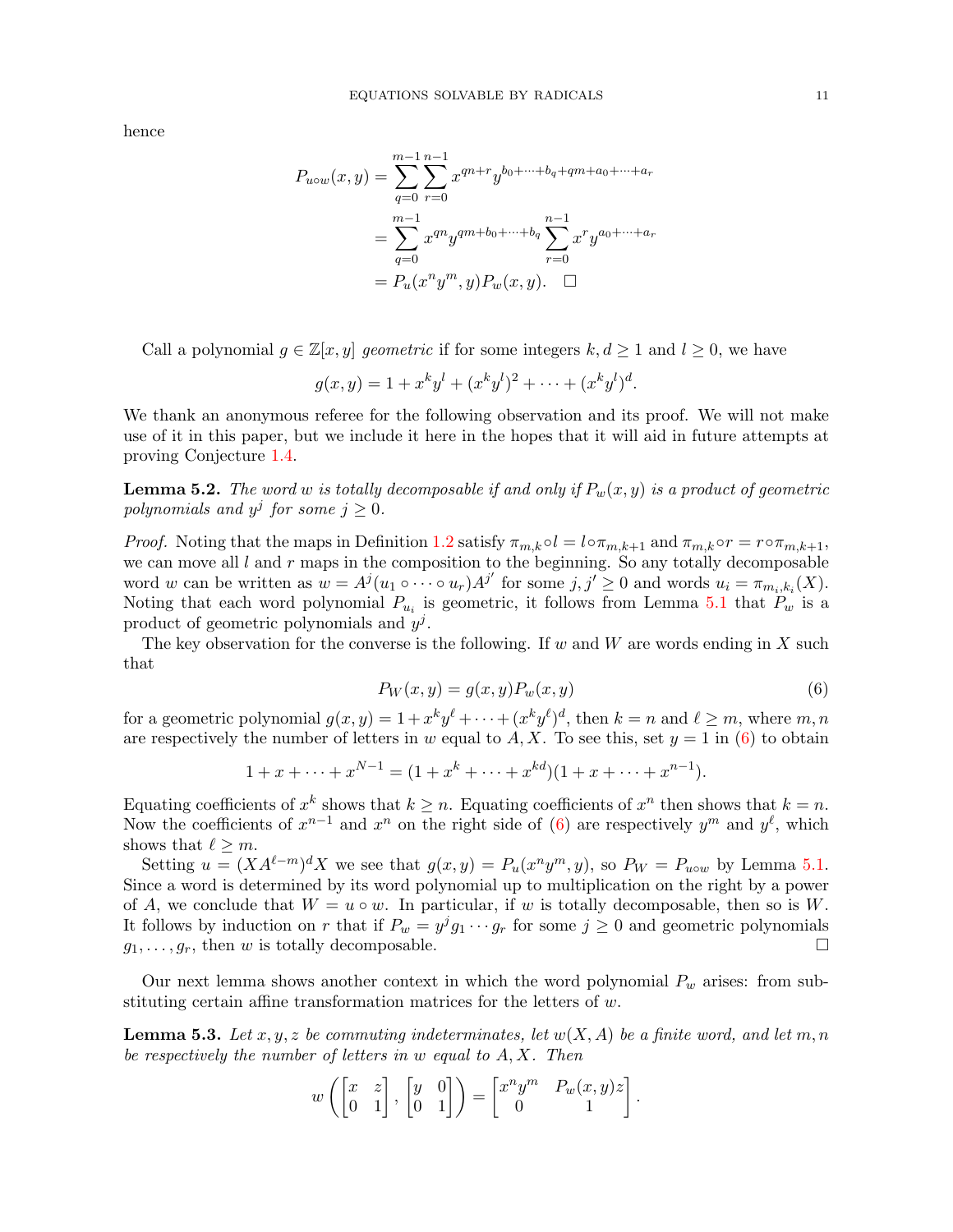hence

$$
P_{u\circ w}(x,y) = \sum_{q=0}^{m-1} \sum_{r=0}^{n-1} x^{qn+r} y^{b_0 + \dots + b_q + qm + a_0 + \dots + a_r}
$$
  
= 
$$
\sum_{q=0}^{m-1} x^{qn} y^{qm+b_0 + \dots + b_q} \sum_{r=0}^{n-1} x^r y^{a_0 + \dots + a_r}
$$
  
= 
$$
P_u(x^n y^m, y) P_w(x, y). \quad \Box
$$

Call a polynomial  $g \in \mathbb{Z}[x, y]$  geometric if for some integers  $k, d \geq 1$  and  $l \geq 0$ , we have

$$
g(x, y) = 1 + x^k y^l + (x^k y^l)^2 + \dots + (x^k y^l)^d.
$$

We thank an anonymous referee for the following observation and its proof. We will not make use of it in this paper, but we include it here in the hopes that it will aid in future attempts at proving Conjecture [1.4.](#page-2-1)

<span id="page-10-2"></span>**Lemma 5.2.** The word w is totally decomposable if and only if  $P_w(x, y)$  is a product of geometric polynomials and  $y^j$  for some  $j \geq 0$ .

*Proof.* Noting that the maps in Definition [1.2](#page-1-1) satisfy  $\pi_{m,k} \circ l = l \circ \pi_{m,k+1}$  and  $\pi_{m,k} \circ r = r \circ \pi_{m,k+1}$ , we can move all  $l$  and  $r$  maps in the composition to the beginning. So any totally decomposable word w can be written as  $w = A^j(u_1 \circ \cdots \circ u_r)A^{j'}$  for some  $j, j' \geq 0$  and words  $u_i = \pi_{m_i,k_i}(X)$ . Noting that each word polynomial  $P_{u_i}$  is geometric, it follows from Lemma [5.1](#page-9-0) that  $P_w$  is a product of geometric polynomials and  $y^j$ .

The key observation for the converse is the following. If w and W are words ending in X such that

<span id="page-10-0"></span>
$$
P_W(x,y) = g(x,y)P_w(x,y)
$$
\n<sup>(6)</sup>

for a geometric polynomial  $g(x, y) = 1 + x^k y^\ell + \cdots + (x^k y^\ell)^d$ , then  $k = n$  and  $\ell \geq m$ , where  $m, n$ are respectively the number of letters in w equal to A, X. To see this, set  $y = 1$  in [\(6\)](#page-10-0) to obtain

$$
1 + x + \dots + x^{N-1} = (1 + x^{k} + \dots + x^{kd})(1 + x + \dots + x^{n-1}).
$$

Equating coefficients of  $x^k$  shows that  $k \geq n$ . Equating coefficients of  $x^n$  then shows that  $k = n$ . Now the coefficients of  $x^{n-1}$  and  $x^n$  on the right side of [\(6\)](#page-10-0) are respectively  $y^m$  and  $y^{\ell}$ , which shows that  $\ell \geq m$ .

Setting  $u = (XA^{\ell-m})^d X$  we see that  $g(x,y) = P_u(x^n y^m, y)$ , so  $P_W = P_{u \circ w}$  by Lemma [5.1.](#page-9-0) Since a word is determined by its word polynomial up to multiplication on the right by a power of A, we conclude that  $W = u \circ w$ . In particular, if w is totally decomposable, then so is W. It follows by induction on r that if  $P_w = y^j g_1 \cdots g_r$  for some  $j \geq 0$  and geometric polynomials  $g_1, \ldots, g_r$ , then w is totally decomposable.

Our next lemma shows another context in which the word polynomial  $P_w$  arises: from substituting certain affine transformation matrices for the letters of  $w$ .

<span id="page-10-1"></span>**Lemma 5.3.** Let  $x, y, z$  be commuting indeterminates, let  $w(X, A)$  be a finite word, and let  $m, n$ be respectively the number of letters in w equal to A, X. Then

$$
w\left(\begin{bmatrix} x & z \\ 0 & 1 \end{bmatrix}, \begin{bmatrix} y & 0 \\ 0 & 1 \end{bmatrix}\right) = \begin{bmatrix} x^n y^m & P_w(x, y)z \\ 0 & 1 \end{bmatrix}.
$$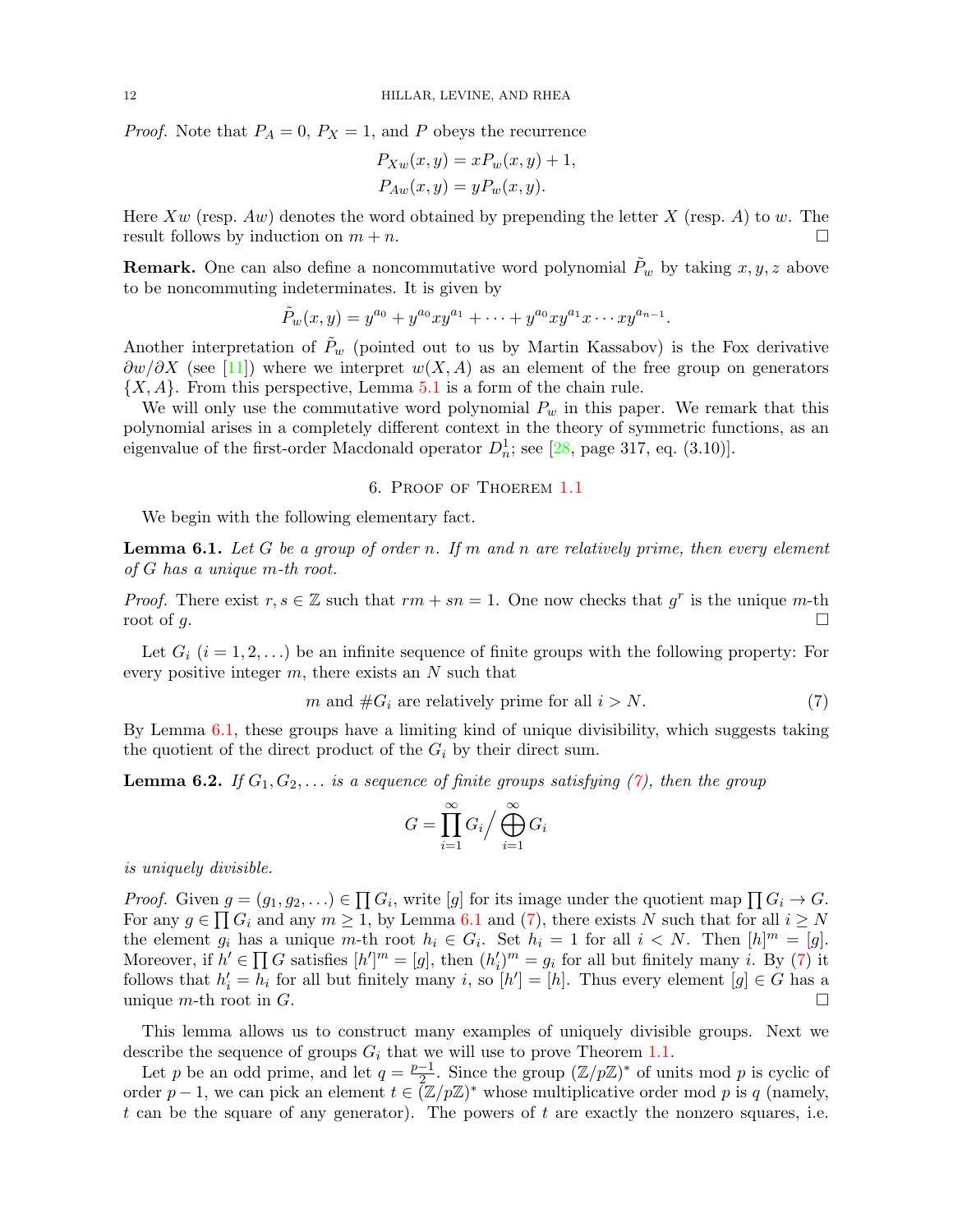*Proof.* Note that  $P_A = 0$ ,  $P_X = 1$ , and P obeys the recurrence

$$
P_{Xw}(x, y) = xP_w(x, y) + 1,
$$
  

$$
P_{Aw}(x, y) = yP_w(x, y).
$$

Here  $Xw$  (resp.  $Aw$ ) denotes the word obtained by prepending the letter X (resp. A) to w. The result follows by induction on  $m + n$ .

**Remark.** One can also define a noncommutative word polynomial  $P_w$  by taking  $x, y, z$  above to be noncommuting indeterminates. It is given by

$$
\tilde{P}_w(x,y) = y^{a_0} + y^{a_0}xy^{a_1} + \cdots + y^{a_0}xy^{a_1}x \cdots xy^{a_{n-1}}.
$$

Another interpretation of  $P_w$  (pointed out to us by Martin Kassabov) is the Fox derivative  $\partial w/\partial X$  (see [\[11\]](#page-16-29)) where we interpret  $w(X, A)$  as an element of the free group on generators  $\{X, A\}$ . From this perspective, Lemma [5.1](#page-9-0) is a form of the chain rule.

We will only use the commutative word polynomial  $P_w$  in this paper. We remark that this polynomial arises in a completely different context in the theory of symmetric functions, as an eigenvalue of the first-order Macdonald operator  $D_n^1$ ; see [\[28,](#page-16-30) page 317, eq. (3.10)].

## 6. Proof of Thoerem [1.1](#page-1-0)

<span id="page-11-0"></span>We begin with the following elementary fact.

<span id="page-11-1"></span>**Lemma 6.1.** Let G be a group of order n. If m and n are relatively prime, then every element of G has a unique m-th root.

*Proof.* There exist  $r, s \in \mathbb{Z}$  such that  $rm + sn = 1$ . One now checks that  $g^r$  is the unique m-th root of g.

Let  $G_i$   $(i = 1, 2, ...)$  be an infinite sequence of finite groups with the following property: For every positive integer  $m$ , there exists an  $N$  such that

<span id="page-11-2"></span>
$$
m \text{ and } \#G_i \text{ are relatively prime for all } i > N. \tag{7}
$$

By Lemma [6.1,](#page-11-1) these groups have a limiting kind of unique divisibility, which suggests taking the quotient of the direct product of the  $G_i$  by their direct sum.

<span id="page-11-3"></span>**Lemma 6.2.** If  $G_1, G_2, \ldots$  is a sequence of finite groups satisfying [\(7\)](#page-11-2), then the group

$$
G = \prod_{i=1}^{\infty} G_i / \bigoplus_{i=1}^{\infty} G_i
$$

is uniquely divisible.

*Proof.* Given  $g = (g_1, g_2, \ldots) \in \prod G_i$ , write  $[g]$  for its image under the quotient map  $\prod G_i \to G$ . For any  $g \in \prod G_i$  and any  $m \ge 1$ , by Lemma [6.1](#page-11-1) and [\(7\)](#page-11-2), there exists N such that for all  $i \ge N$ the element  $g_i$  has a unique m-th root  $h_i \in G_i$ . Set  $h_i = 1$  for all  $i \lt N$ . Then  $[h]^m = [g]$ . Moreover, if  $h' \in \prod G$  satisfies  $[h']^m = [g]$ , then  $(h'_i)^m = g_i$  for all but finitely many *i*. By [\(7\)](#page-11-2) it follows that  $h'_i = h_i$  for all but finitely many i, so  $[h'] = [h]$ . Thus every element  $[g] \in G$  has a unique  $m$ -th root in  $G$ .

This lemma allows us to construct many examples of uniquely divisible groups. Next we describe the sequence of groups  $G_i$  that we will use to prove Theorem [1.1.](#page-1-0)

Let p be an odd prime, and let  $q = \frac{p-1}{2}$  $\frac{-1}{2}$ . Since the group  $(\mathbb{Z}/p\mathbb{Z})^*$  of units mod p is cyclic of order  $p-1$ , we can pick an element  $t \in (\mathbb{Z}/p\mathbb{Z})^*$  whose multiplicative order mod p is q (namely, t can be the square of any generator). The powers of t are exactly the nonzero squares, i.e.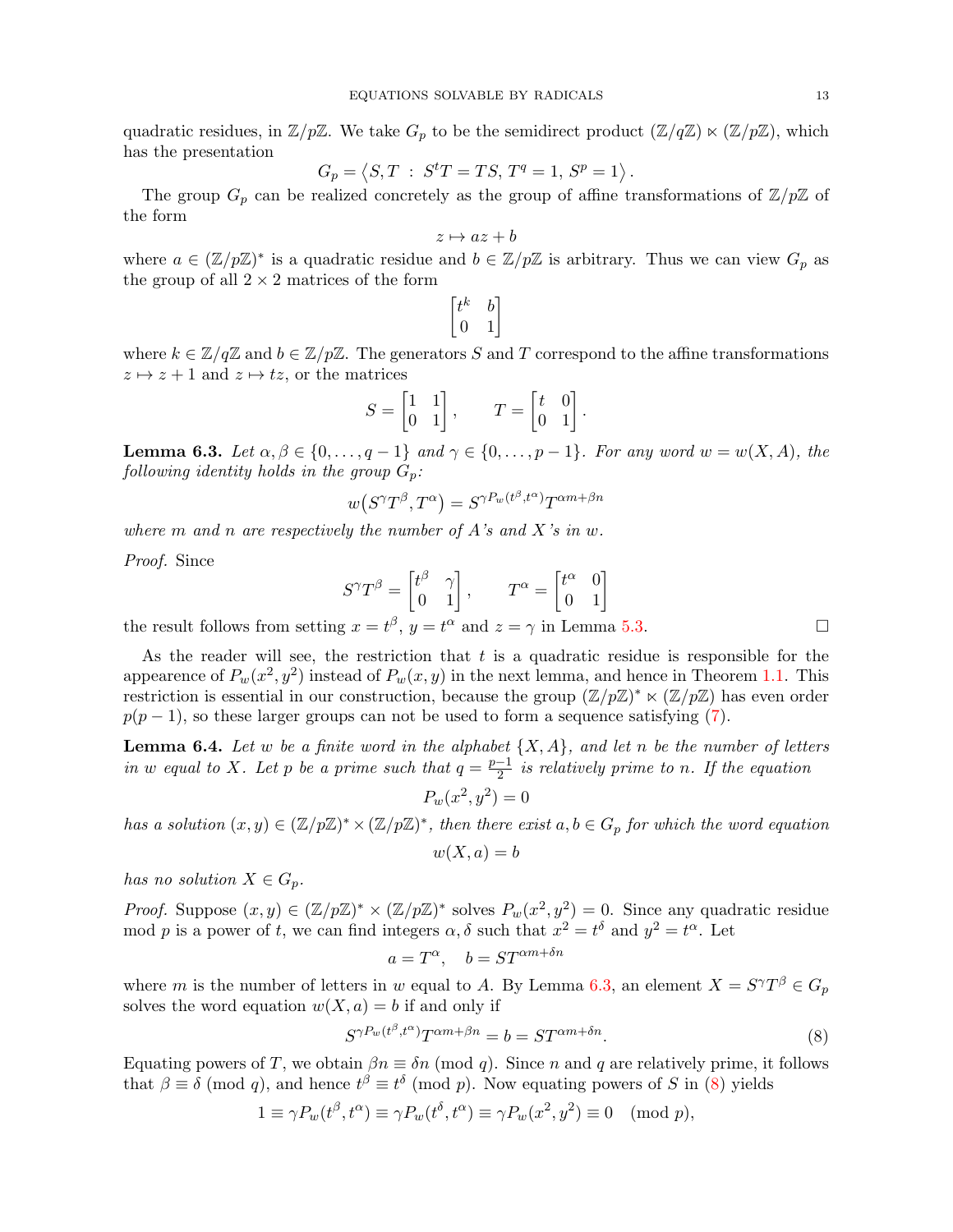quadratic residues, in  $\mathbb{Z}/p\mathbb{Z}$ . We take  $G_p$  to be the semidirect product  $(\mathbb{Z}/q\mathbb{Z}) \ltimes (\mathbb{Z}/p\mathbb{Z})$ , which has the presentation

$$
G_p=\left\langle S,T\;:\;S^tT=TS,\,T^q=1,\,S^p=1\right\rangle.
$$

The group  $G_p$  can be realized concretely as the group of affine transformations of  $\mathbb{Z}/p\mathbb{Z}$  of the form

$$
z \mapsto az + b
$$

where  $a \in (\mathbb{Z}/p\mathbb{Z})^*$  is a quadratic residue and  $b \in \mathbb{Z}/p\mathbb{Z}$  is arbitrary. Thus we can view  $G_p$  as the group of all  $2 \times 2$  matrices of the form

$$
\begin{bmatrix} t^k & b \\ 0 & 1 \end{bmatrix}
$$

where  $k \in \mathbb{Z}/q\mathbb{Z}$  and  $b \in \mathbb{Z}/p\mathbb{Z}$ . The generators S and T correspond to the affine transformations  $z \mapsto z + 1$  and  $z \mapsto tz$ , or the matrices

$$
S = \begin{bmatrix} 1 & 1 \\ 0 & 1 \end{bmatrix}, \qquad T = \begin{bmatrix} t & 0 \\ 0 & 1 \end{bmatrix}.
$$

<span id="page-12-0"></span>**Lemma 6.3.** Let  $\alpha, \beta \in \{0, \ldots, q-1\}$  and  $\gamma \in \{0, \ldots, p-1\}$ . For any word  $w = w(X, A)$ , the following identity holds in the group  $G_p$ :

$$
w\big(S^{\gamma}T^{\beta},T^{\alpha}\big)=S^{\gamma P_w(t^{\beta},t^{\alpha})}T^{\alpha m+\beta n}
$$

where m and n are respectively the number of A's and X's in  $w$ .

Proof. Since

$$
S^{\gamma}T^{\beta} = \begin{bmatrix} t^{\beta} & \gamma \\ 0 & 1 \end{bmatrix}, \qquad T^{\alpha} = \begin{bmatrix} t^{\alpha} & 0 \\ 0 & 1 \end{bmatrix}
$$

the result follows from setting  $x = t^{\beta}$ ,  $y = t^{\alpha}$  and  $z = \gamma$  in Lemma [5.3.](#page-10-1)

As the reader will see, the restriction that  $t$  is a quadratic residue is responsible for the appearence of  $P_w(x^2, y^2)$  instead of  $P_w(x, y)$  in the next lemma, and hence in Theorem [1.1.](#page-1-0) This restriction is essential in our construction, because the group  $(\mathbb{Z}/p\mathbb{Z})^* \ltimes (\mathbb{Z}/p\mathbb{Z})$  has even order  $p(p-1)$ , so these larger groups can not be used to form a sequence satisfying [\(7\)](#page-11-2).

<span id="page-12-2"></span>**Lemma 6.4.** Let w be a finite word in the alphabet  $\{X, A\}$ , and let n be the number of letters in w equal to X. Let p be a prime such that  $q = \frac{p-1}{2}$  $\frac{-1}{2}$  is relatively prime to n. If the equation

$$
P_w(x^2, y^2) = 0
$$

has a solution  $(x, y) \in (\mathbb{Z}/p\mathbb{Z})^* \times (\mathbb{Z}/p\mathbb{Z})^*$ , then there exist  $a, b \in G_p$  for which the word equation  $w(X, a) = b$ 

has no solution  $X \in G_p$ .

*Proof.* Suppose  $(x, y) \in (\mathbb{Z}/p\mathbb{Z})^* \times (\mathbb{Z}/p\mathbb{Z})^*$  solves  $P_w(x^2, y^2) = 0$ . Since any quadratic residue mod p is a power of t, we can find integers  $\alpha$ ,  $\delta$  such that  $x^2 = t^{\delta}$  and  $y^2 = t^{\alpha}$ . Let

$$
a = T^{\alpha}, \quad b = ST^{\alpha m + \delta n}
$$

where m is the number of letters in w equal to A. By Lemma [6.3,](#page-12-0) an element  $X = S^{\gamma}T^{\beta} \in G_p$ solves the word equation  $w(X, a) = b$  if and only if

<span id="page-12-1"></span>
$$
S^{\gamma P_w(t^{\beta}, t^{\alpha})} T^{\alpha m + \beta n} = b = S T^{\alpha m + \delta n}.
$$
\n
$$
(8)
$$

Equating powers of T, we obtain  $\beta n \equiv \delta n \pmod{q}$ . Since n and q are relatively prime, it follows that  $\beta \equiv \delta \pmod{q}$ , and hence  $t^{\beta} \equiv t^{\delta} \pmod{p}$ . Now equating powers of S in [\(8\)](#page-12-1) yields

$$
1 \equiv \gamma P_w(t^{\beta}, t^{\alpha}) \equiv \gamma P_w(t^{\delta}, t^{\alpha}) \equiv \gamma P_w(x^2, y^2) \equiv 0 \pmod{p},
$$

$$
T^{\alpha} = \begin{bmatrix} t^{\alpha} & 0 \\ 0 & 1 \end{bmatrix}
$$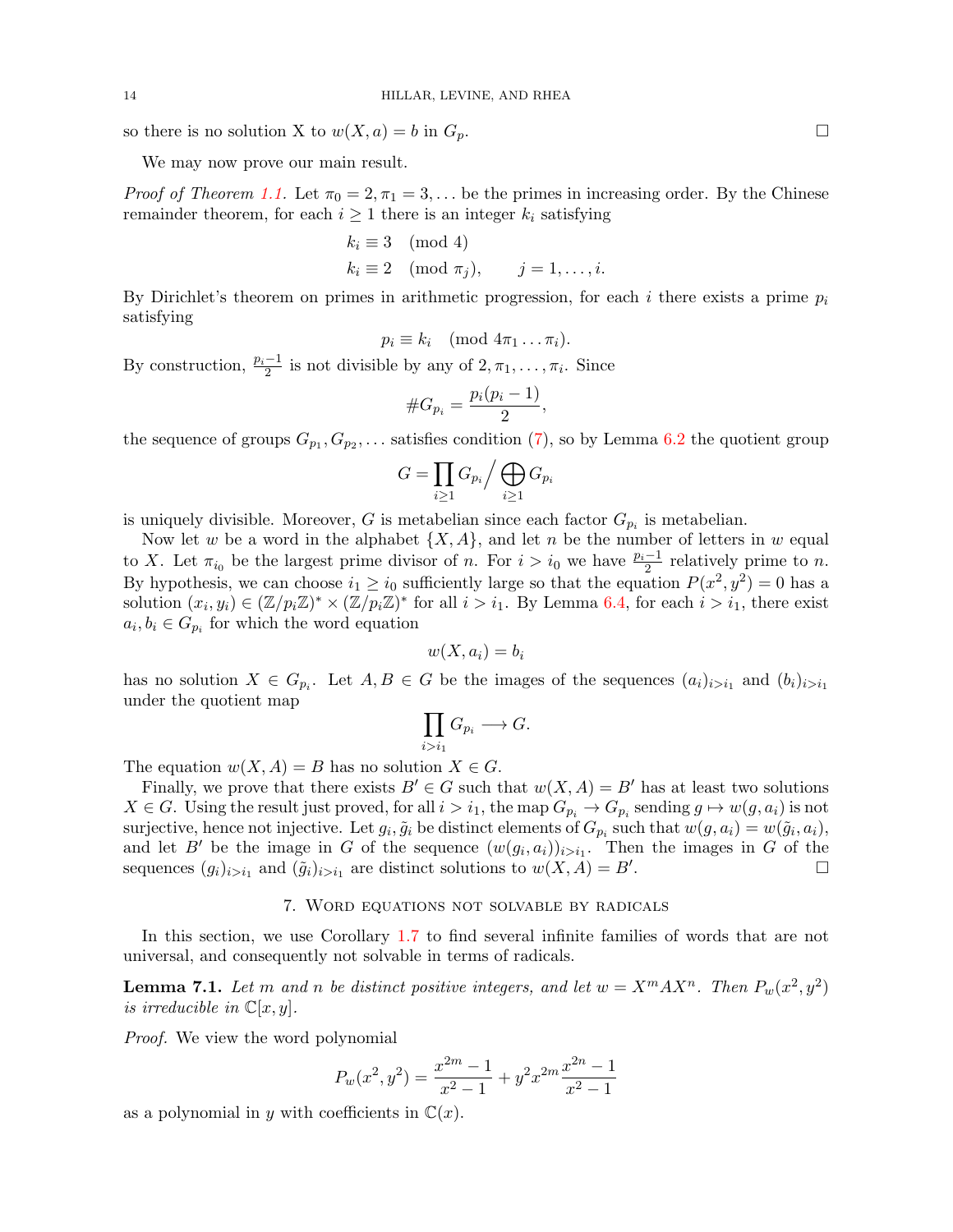so there is no solution X to  $w(X, a) = b$  in  $G_p$ .

We may now prove our main result.

*Proof of Theorem [1.1.](#page-1-0)* Let  $\pi_0 = 2, \pi_1 = 3, \dots$  be the primes in increasing order. By the Chinese remainder theorem, for each  $i \geq 1$  there is an integer  $k_i$  satisfying

$$
k_i \equiv 3 \pmod{4}
$$
  
\n
$$
k_i \equiv 2 \pmod{\pi_j}, \qquad j = 1, \dots, i.
$$

By Dirichlet's theorem on primes in arithmetic progression, for each i there exists a prime  $p_i$ satisfying

$$
p_i \equiv k_i \pmod{4\pi_1 \dots \pi_i}.
$$

By construction,  $\frac{p_i-1}{2}$  is not divisible by any of  $2, \pi_1, \ldots, \pi_i$ . Since

$$
\#G_{p_i} = \frac{p_i(p_i - 1)}{2},
$$

the sequence of groups  $G_{p_1}, G_{p_2}, \ldots$  satisfies condition [\(7\)](#page-11-2), so by Lemma [6.2](#page-11-3) the quotient group

$$
G = \prod_{i \ge 1} G_{p_i} / \bigoplus_{i \ge 1} G_{p_i}
$$

is uniquely divisible. Moreover, G is metabelian since each factor  $G_{p_i}$  is metabelian.

Now let w be a word in the alphabet  $\{X, A\}$ , and let n be the number of letters in w equal to X. Let  $\pi_{i_0}$  be the largest prime divisor of n. For  $i > i_0$  we have  $\frac{p_i-1}{2}$  relatively prime to n. By hypothesis, we can choose  $i_1 \geq i_0$  sufficiently large so that the equation  $P(x^2, y^2) = 0$  has a solution  $(x_i, y_i) \in (\mathbb{Z}/p_i\mathbb{Z})^* \times (\mathbb{Z}/p_i\mathbb{Z})^*$  for all  $i > i_1$ . By Lemma [6.4,](#page-12-2) for each  $i > i_1$ , there exist  $a_i, b_i \in G_{p_i}$  for which the word equation

$$
w(X, a_i) = b_i
$$

has no solution  $X \in G_{p_i}$ . Let  $A, B \in G$  be the images of the sequences  $(a_i)_{i>i_1}$  and  $(b_i)_{i>i_1}$ under the quotient map

$$
\prod_{i>i_1} G_{p_i} \longrightarrow G.
$$

The equation  $w(X, A) = B$  has no solution  $X \in G$ .

Finally, we prove that there exists  $B' \in G$  such that  $w(X, A) = B'$  has at least two solutions  $X \in G$ . Using the result just proved, for all  $i > i_1$ , the map  $G_{p_i} \to G_{p_i}$  sending  $g \mapsto w(g, a_i)$  is not surjective, hence not injective. Let  $g_i, \tilde{g}_i$  be distinct elements of  $G_{p_i}$  such that  $w(g, a_i) = w(\tilde{g}_i, a_i)$ , and let B' be the image in G of the sequence  $(w(g_i, a_i))_{i>i_1}$ . Then the images in G of the sequences  $(g_i)_{i>i_1}$  and  $(\tilde{g}_i)_{i>i_1}$  are distinct solutions to  $w(X, A) = B'$ .

## 7. Word equations not solvable by radicals

<span id="page-13-0"></span>In this section, we use Corollary [1.7](#page-3-0) to find several infinite families of words that are not universal, and consequently not solvable in terms of radicals.

<span id="page-13-1"></span>**Lemma 7.1.** Let m and n be distinct positive integers, and let  $w = X^m A X^n$ . Then  $P_w(x^2, y^2)$ is irreducible in  $\mathbb{C}[x, y]$ .

Proof. We view the word polynomial

$$
P_w(x^2, y^2) = \frac{x^{2m} - 1}{x^2 - 1} + y^2 x^{2m} \frac{x^{2n} - 1}{x^2 - 1}
$$

as a polynomial in y with coefficients in  $\mathbb{C}(x)$ .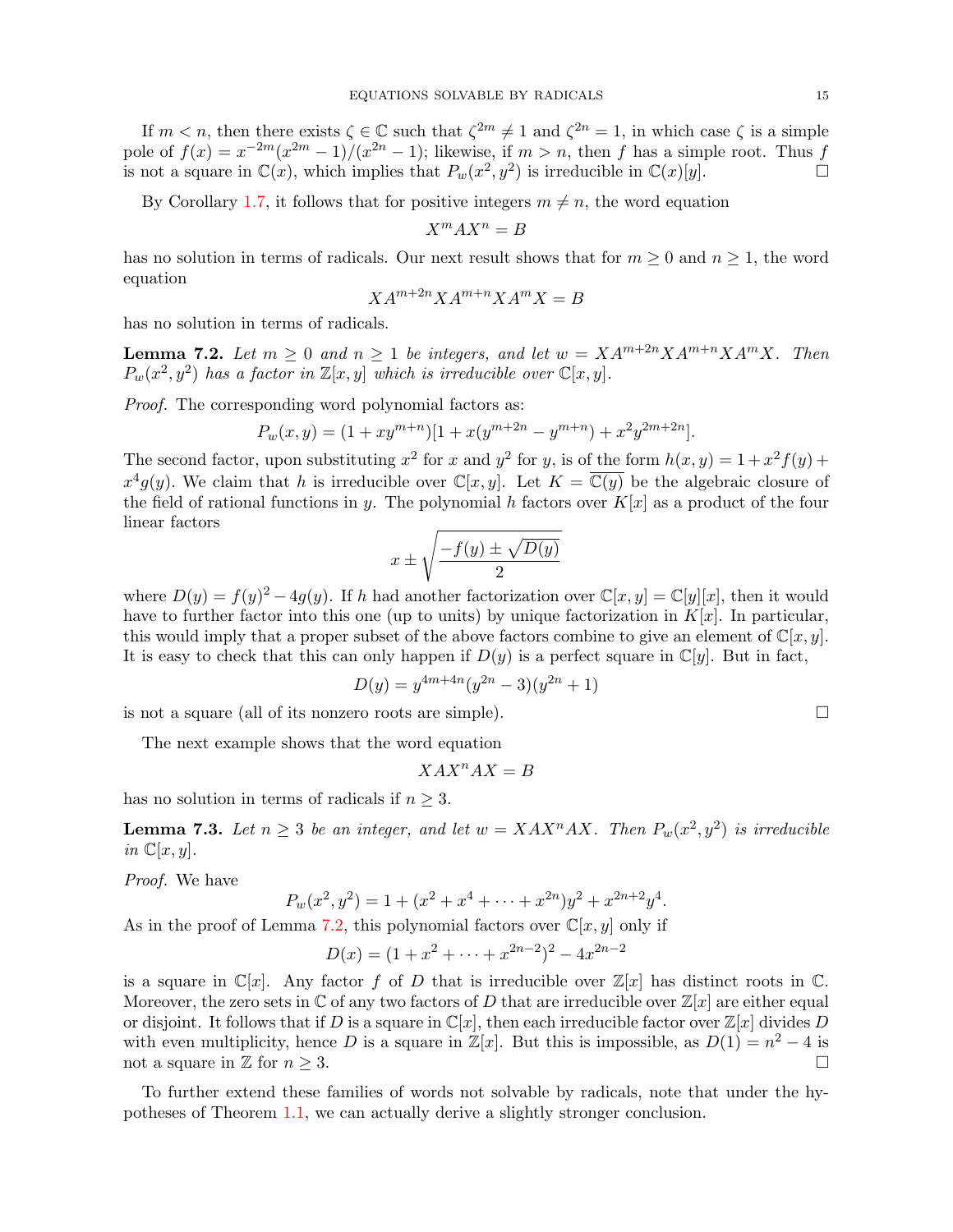If  $m < n$ , then there exists  $\zeta \in \mathbb{C}$  such that  $\zeta^{2m} \neq 1$  and  $\zeta^{2n} = 1$ , in which case  $\zeta$  is a simple pole of  $f(x) = x^{-2m}(x^{2m} - 1)/(x^{2n} - 1)$ ; likewise, if  $m > n$ , then f has a simple root. Thus f is not a square in  $\mathbb{C}(x)$ , which implies that  $P_w(x^2, y^2)$  is irreducible in  $\mathbb{C}(x)[y]$ .

By Corollary [1.7,](#page-3-0) it follows that for positive integers  $m \neq n$ , the word equation

$$
X^m A X^n = B
$$

has no solution in terms of radicals. Our next result shows that for  $m \geq 0$  and  $n \geq 1$ , the word equation

$$
XA^{m+2n}XA^{m+n}XA^{m}X = B
$$

has no solution in terms of radicals.

<span id="page-14-0"></span>**Lemma 7.2.** Let  $m \geq 0$  and  $n \geq 1$  be integers, and let  $w = XA^{m+2n}XA^{m+n}XA^{m}X$ . Then  $P_w(x^2, y^2)$  has a factor in  $\mathbb{Z}[x, y]$  which is irreducible over  $\mathbb{C}[x, y]$ .

Proof. The corresponding word polynomial factors as:

$$
P_w(x,y) = (1+xy^{m+n})[1+x(y^{m+2n}-y^{m+n})+x^2y^{2m+2n}].
$$

The second factor, upon substituting  $x^2$  for x and  $y^2$  for y, is of the form  $h(x, y) = 1 + x^2 f(y) +$  $x^4g(y)$ . We claim that h is irreducible over  $\mathbb{C}[x,y]$ . Let  $K = \overline{\mathbb{C}(y)}$  be the algebraic closure of the field of rational functions in y. The polynomial h factors over  $K[x]$  as a product of the four linear factors

$$
x \pm \sqrt{\frac{-f(y) \pm \sqrt{D(y)}}{2}}
$$

where  $D(y) = f(y)^2 - 4g(y)$ . If h had another factorization over  $\mathbb{C}[x, y] = \mathbb{C}[y][x]$ , then it would have to further factor into this one (up to units) by unique factorization in  $K[x]$ . In particular, this would imply that a proper subset of the above factors combine to give an element of  $\mathbb{C}[x, y]$ . It is easy to check that this can only happen if  $D(y)$  is a perfect square in  $\mathbb{C}[y]$ . But in fact,

$$
D(y) = y^{4m+4n}(y^{2n} - 3)(y^{2n} + 1)
$$

is not a square (all of its nonzero roots are simple).  $\Box$ 

The next example shows that the word equation

$$
XAX^nAX = B
$$

has no solution in terms of radicals if  $n \geq 3$ .

**Lemma 7.3.** Let  $n \geq 3$  be an integer, and let  $w = XAX^nAX$ . Then  $P_w(x^2, y^2)$  is irreducible in  $\mathbb{C}[x,y]$ .

Proof. We have

$$
P_w(x^2, y^2) = 1 + (x^2 + x^4 + \dots + x^{2n})y^2 + x^{2n+2}y^4.
$$

As in the proof of Lemma [7.2,](#page-14-0) this polynomial factors over  $\mathbb{C}[x, y]$  only if

$$
D(x) = (1 + x2 + \dots + x2n-2)2 - 4x2n-2
$$

is a square in  $\mathbb{C}[x]$ . Any factor f of D that is irreducible over  $\mathbb{Z}[x]$  has distinct roots in  $\mathbb{C}$ . Moreover, the zero sets in  $\mathbb C$  of any two factors of D that are irreducible over  $\mathbb Z[x]$  are either equal or disjoint. It follows that if D is a square in  $\mathbb{C}[x]$ , then each irreducible factor over  $\mathbb{Z}[x]$  divides D with even multiplicity, hence D is a square in  $\mathbb{Z}[x]$ . But this is impossible, as  $D(1) = n^2 - 4$  is not a square in  $\mathbb{Z}$  for  $n \geq 3$ .

To further extend these families of words not solvable by radicals, note that under the hypotheses of Theorem [1.1,](#page-1-0) we can actually derive a slightly stronger conclusion.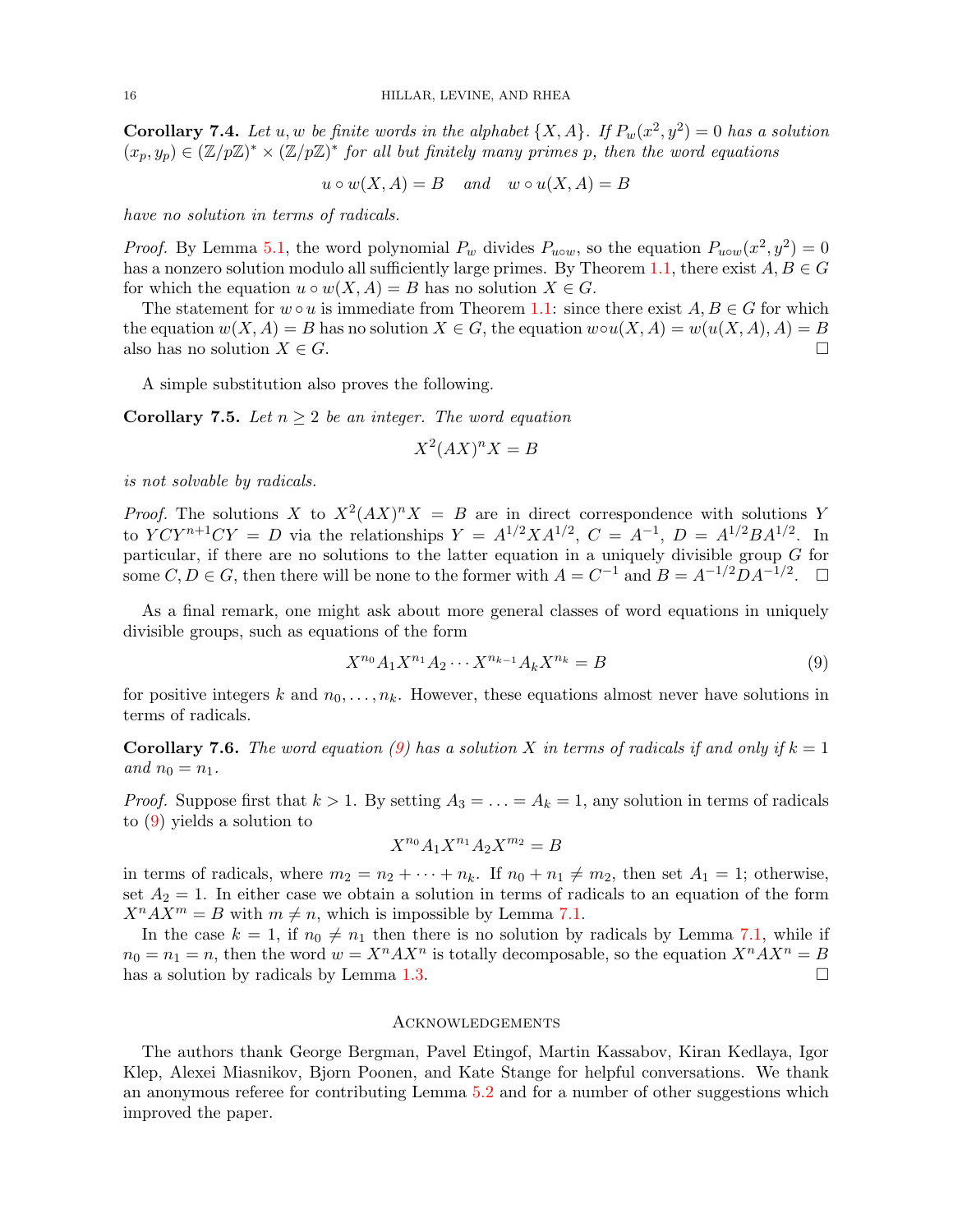**Corollary 7.4.** Let u, w be finite words in the alphabet  $\{X, A\}$ . If  $P_w(x^2, y^2) = 0$  has a solution  $(x_p, y_p) \in (\mathbb{Z}/p\mathbb{Z})^* \times (\mathbb{Z}/p\mathbb{Z})^*$  for all but finitely many primes p, then the word equations

 $u \circ w(X, A) = B$  and  $w \circ u(X, A) = B$ 

have no solution in terms of radicals.

*Proof.* By Lemma [5.1,](#page-9-0) the word polynomial  $P_w$  divides  $P_{uvw}$ , so the equation  $P_{uvw}(x^2, y^2) = 0$ has a nonzero solution modulo all sufficiently large primes. By Theorem [1.1,](#page-1-0) there exist  $A, B \in G$ for which the equation  $u \circ w(X, A) = B$  has no solution  $X \in G$ .

The statement for  $w \circ u$  is immediate from Theorem [1.1:](#page-1-0) since there exist  $A, B \in G$  for which the equation  $w(X, A) = B$  has no solution  $X \in G$ , the equation  $w \circ u(X, A) = w(u(X, A), A) = B$ also has no solution  $X \in G$ .

A simple substitution also proves the following.

**Corollary 7.5.** Let  $n \geq 2$  be an integer. The word equation

$$
X^2 (AX)^n X = B
$$

is not solvable by radicals.

*Proof.* The solutions X to  $X^2 (AX)^n X = B$  are in direct correspondence with solutions Y to  $Y C Y^{n+1} C Y = D$  via the relationships  $Y = A^{1/2} X A^{1/2}$ ,  $C = A^{-1}$ ,  $D = A^{1/2} B A^{1/2}$ . In particular, if there are no solutions to the latter equation in a uniquely divisible group G for some  $C, D \in G$ , then there will be none to the former with  $A = C^{-1}$  and  $B = A^{-1/2}DA^{-1/2}$ .  $\square$ 

As a final remark, one might ask about more general classes of word equations in uniquely divisible groups, such as equations of the form

<span id="page-15-0"></span>
$$
X^{n_0} A_1 X^{n_1} A_2 \cdots X^{n_{k-1}} A_k X^{n_k} = B \tag{9}
$$

for positive integers k and  $n_0, \ldots, n_k$ . However, these equations almost never have solutions in terms of radicals.

**Corollary 7.6.** The word equation [\(9\)](#page-15-0) has a solution X in terms of radicals if and only if  $k = 1$ and  $n_0 = n_1$ .

*Proof.* Suppose first that  $k > 1$ . By setting  $A_3 = \ldots = A_k = 1$ , any solution in terms of radicals to [\(9\)](#page-15-0) yields a solution to

$$
X^{n_0}A_1X^{n_1}A_2X^{m_2} = B
$$

in terms of radicals, where  $m_2 = n_2 + \cdots + n_k$ . If  $n_0 + n_1 \neq m_2$ , then set  $A_1 = 1$ ; otherwise, set  $A_2 = 1$ . In either case we obtain a solution in terms of radicals to an equation of the form  $X^n A X^m = B$  with  $m \neq n$ , which is impossible by Lemma [7.1.](#page-13-1)

In the case  $k = 1$ , if  $n_0 \neq n_1$  then there is no solution by radicals by Lemma [7.1,](#page-13-1) while if  $n_0 = n_1 = n$ , then the word  $w = X^n A X^n$  is totally decomposable, so the equation  $X^n A X^n = B$ has a solution by radicals by Lemma [1.3.](#page-2-3)

#### Acknowledgements

The authors thank George Bergman, Pavel Etingof, Martin Kassabov, Kiran Kedlaya, Igor Klep, Alexei Miasnikov, Bjorn Poonen, and Kate Stange for helpful conversations. We thank an anonymous referee for contributing Lemma [5.2](#page-10-2) and for a number of other suggestions which improved the paper.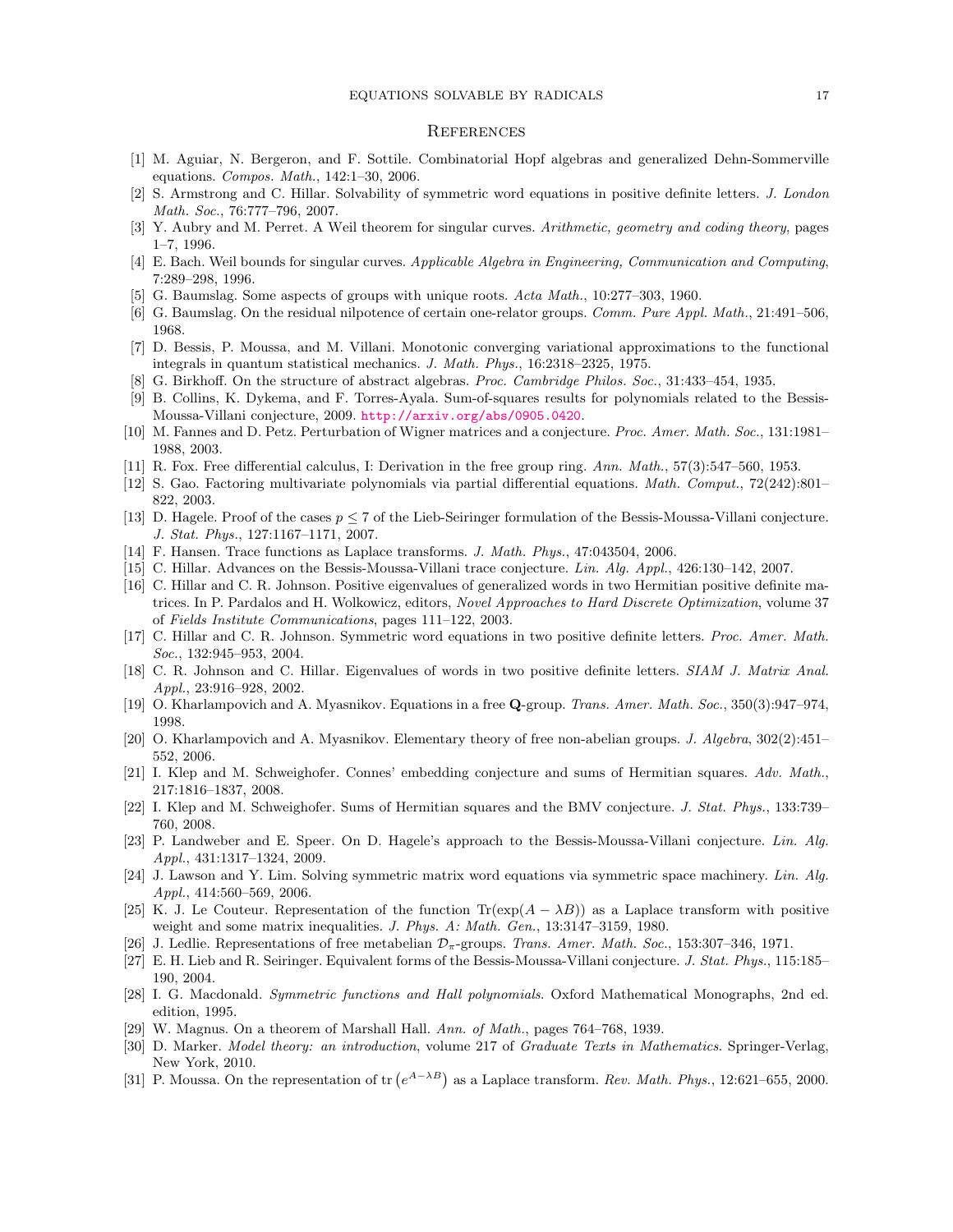#### EQUATIONS SOLVABLE BY RADICALS 17

#### **REFERENCES**

- <span id="page-16-0"></span>[1] M. Aguiar, N. Bergeron, and F. Sottile. Combinatorial Hopf algebras and generalized Dehn-Sommerville equations. Compos. Math., 142:1–30, 2006.
- <span id="page-16-21"></span>[2] S. Armstrong and C. Hillar. Solvability of symmetric word equations in positive definite letters. J. London Math. Soc., 76:777–796, 2007.
- <span id="page-16-5"></span>[3] Y. Aubry and M. Perret. A Weil theorem for singular curves. Arithmetic, geometry and coding theory, pages 1–7, 1996.
- <span id="page-16-4"></span>[4] E. Bach. Weil bounds for singular curves. Applicable Algebra in Engineering, Communication and Computing, 7:289–298, 1996.
- <span id="page-16-24"></span>[5] G. Baumslag. Some aspects of groups with unique roots. Acta Math., 10:277–303, 1960.
- <span id="page-16-28"></span>[6] G. Baumslag. On the residual nilpotence of certain one-relator groups. Comm. Pure Appl. Math., 21:491–506, 1968.
- <span id="page-16-8"></span>[7] D. Bessis, P. Moussa, and M. Villani. Monotonic converging variational approximations to the functional integrals in quantum statistical mechanics. J. Math. Phys., 16:2318–2325, 1975.
- <span id="page-16-26"></span>[8] G. Birkhoff. On the structure of abstract algebras. Proc. Cambridge Philos. Soc., 31:433–454, 1935.
- <span id="page-16-17"></span>[9] B. Collins, K. Dykema, and F. Torres-Ayala. Sum-of-squares results for polynomials related to the Bessis-Moussa-Villani conjecture, 2009. <http://arxiv.org/abs/0905.0420>.
- <span id="page-16-11"></span>[10] M. Fannes and D. Petz. Perturbation of Wigner matrices and a conjecture. Proc. Amer. Math. Soc., 131:1981– 1988, 2003.
- <span id="page-16-29"></span>[11] R. Fox. Free differential calculus, I: Derivation in the free group ring. Ann. Math., 57(3):547–560, 1953.
- <span id="page-16-6"></span>[12] S. Gao. Factoring multivariate polynomials via partial differential equations. Math. Comput., 72(242):801– 822, 2003.
- <span id="page-16-13"></span>[13] D. Hagele. Proof of the cases  $p \le 7$  of the Lieb-Seiringer formulation of the Bessis-Moussa-Villani conjecture. J. Stat. Phys., 127:1167–1171, 2007.
- <span id="page-16-20"></span>[14] F. Hansen. Trace functions as Laplace transforms. J. Math. Phys., 47:043504, 2006.
- <span id="page-16-12"></span>[15] C. Hillar. Advances on the Bessis-Moussa-Villani trace conjecture. Lin. Alg. Appl., 426:130–142, 2007.
- <span id="page-16-19"></span>[16] C. Hillar and C. R. Johnson. Positive eigenvalues of generalized words in two Hermitian positive definite matrices. In P. Pardalos and H. Wolkowicz, editors, Novel Approaches to Hard Discrete Optimization, volume 37 of Fields Institute Communications, pages 111–122, 2003.
- <span id="page-16-22"></span>[17] C. Hillar and C. R. Johnson. Symmetric word equations in two positive definite letters. Proc. Amer. Math. Soc., 132:945–953, 2004.
- <span id="page-16-18"></span>[18] C. R. Johnson and C. Hillar. Eigenvalues of words in two positive definite letters. SIAM J. Matrix Anal. Appl., 23:916–928, 2002.
- <span id="page-16-2"></span>[19] O. Kharlampovich and A. Myasnikov. Equations in a free Q-group. Trans. Amer. Math. Soc., 350(3):947–974, 1998.
- <span id="page-16-1"></span>[20] O. Kharlampovich and A. Myasnikov. Elementary theory of free non-abelian groups. J. Algebra, 302(2):451– 552, 2006.
- <span id="page-16-16"></span>[21] I. Klep and M. Schweighofer. Connes' embedding conjecture and sums of Hermitian squares. Adv. Math., 217:1816–1837, 2008.
- <span id="page-16-15"></span>[22] I. Klep and M. Schweighofer. Sums of Hermitian squares and the BMV conjecture. J. Stat. Phys., 133:739– 760, 2008.
- <span id="page-16-14"></span>[23] P. Landweber and E. Speer. On D. Hagele's approach to the Bessis-Moussa-Villani conjecture. Lin. Alg. Appl., 431:1317–1324, 2009.
- <span id="page-16-23"></span>[24] J. Lawson and Y. Lim. Solving symmetric matrix word equations via symmetric space machinery. Lin. Alg. Appl., 414:560–569, 2006.
- <span id="page-16-9"></span>[25] K. J. Le Couteur. Representation of the function  $\text{Tr}(\exp(A - \lambda B))$  as a Laplace transform with positive weight and some matrix inequalities. J. Phys. A: Math. Gen., 13:3147-3159, 1980.
- <span id="page-16-25"></span>[26] J. Ledlie. Representations of free metabelian  $\mathcal{D}_{\pi}$ -groups. Trans. Amer. Math. Soc., 153:307–346, 1971.
- <span id="page-16-7"></span>[27] E. H. Lieb and R. Seiringer. Equivalent forms of the Bessis-Moussa-Villani conjecture. J. Stat. Phys., 115:185– 190, 2004.
- <span id="page-16-30"></span>[28] I. G. Macdonald. Symmetric functions and Hall polynomials. Oxford Mathematical Monographs, 2nd ed. edition, 1995.
- <span id="page-16-27"></span>[29] W. Magnus. On a theorem of Marshall Hall. Ann. of Math., pages 764–768, 1939.
- <span id="page-16-3"></span>[30] D. Marker. Model theory: an introduction, volume 217 of Graduate Texts in Mathematics. Springer-Verlag, New York, 2010.
- <span id="page-16-10"></span>[31] P. Moussa. On the representation of tr  $(e^{A-\lambda B})$  as a Laplace transform. Rev. Math. Phys., 12:621–655, 2000.